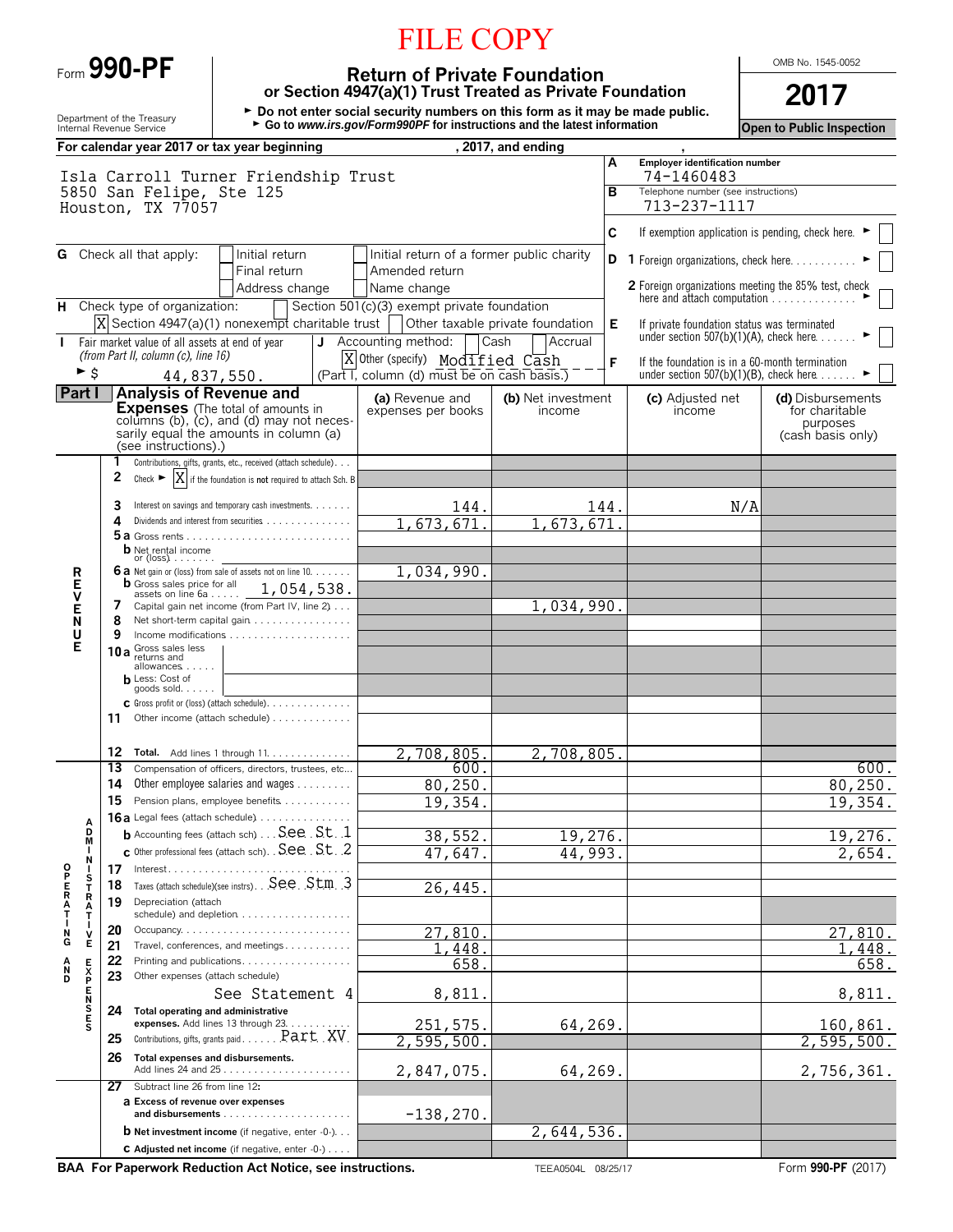|  |  | Form 990-PF |
|--|--|-------------|
|--|--|-------------|

# FILE COPY

OMB No. 1545-0052

**Return of Private Foundation or Section 4947(a)(1) Trust Treated as Private Foundation 2017**

Department of the Treasury **buten by Devilopment of the Treasury being the Devilopment of the Treasury buten by Devilopment of the Devilopment of the Service buten alle atest information<br>Internal Revenue Service <b>Consumer** 

|                                           | For calendar year 2017 or tax year beginning                                       |                                                                 |   |                                                                                | , 2017, and ending                   |      |                                                                                                           |                                     |
|-------------------------------------------|------------------------------------------------------------------------------------|-----------------------------------------------------------------|---|--------------------------------------------------------------------------------|--------------------------------------|------|-----------------------------------------------------------------------------------------------------------|-------------------------------------|
|                                           | Isla Carroll Turner Friendship Trust                                               |                                                                 |   |                                                                                |                                      | A    | Employer identification number<br>74-1460483                                                              |                                     |
|                                           | 5850 San Felipe, Ste 125<br>Houston, TX 77057                                      |                                                                 |   |                                                                                |                                      | в    | Telephone number (see instructions)<br>713-237-1117                                                       |                                     |
|                                           |                                                                                    |                                                                 |   |                                                                                |                                      | C    | If exemption application is pending, check here. ▶                                                        |                                     |
|                                           | <b>G</b> Check all that apply:                                                     | Initial return<br>Final return                                  |   | Initial return of a former public charity<br>Amended return                    |                                      | D    | 1 Foreign organizations, check here.                                                                      |                                     |
|                                           |                                                                                    | Address change                                                  |   | Name change                                                                    |                                      |      | 2 Foreign organizations meeting the 85% test, check<br>here and attach computation                        |                                     |
|                                           | H Check type of organization:<br>$X$ Section 4947(a)(1) nonexempt charitable trust |                                                                 |   | Section 501(c)(3) exempt private foundation                                    | Other taxable private foundation     | Е    | If private foundation status was terminated                                                               |                                     |
|                                           | Fair market value of all assets at end of year                                     |                                                                 | J | Accounting method:                                                             | Cash<br>Accrual                      |      | under section $507(b)(1)(A)$ , check here                                                                 |                                     |
| ► \$                                      | (from Part II, column (c), line 16)                                                | 44,837,550.                                                     |   | X Other (specify) Modified Cash<br>(Part I, column (d) must be on cash basis.) |                                      | F    | If the foundation is in a 60-month termination<br>under section $507(b)(1)(B)$ , check here $\dots \dots$ |                                     |
| <b>Part</b> I                             | <b>Analysis of Revenue and</b>                                                     |                                                                 |   |                                                                                |                                      |      |                                                                                                           |                                     |
|                                           | <b>Expenses</b> (The total of amounts in                                           |                                                                 |   | (a) Revenue and<br>expenses per books                                          | (b) Net investment<br>income         |      | (c) Adjusted net<br>income                                                                                | (d) Disbursements<br>for charitable |
|                                           | sarily equal the amounts in column (a)<br>(see instructions).)                     | columns (b), (c), and (d) may not neces-                        |   |                                                                                |                                      |      |                                                                                                           | purposes<br>(cash basis only)       |
|                                           |                                                                                    | Contributions, gifts, grants, etc., received (attach schedule). |   |                                                                                |                                      |      |                                                                                                           |                                     |
|                                           | X<br>2<br>Check $\blacktriangleright$                                              | if the foundation is not required to attach Sch. B              |   |                                                                                |                                      |      |                                                                                                           |                                     |
|                                           | 3                                                                                  | Interest on savings and temporary cash investments.             |   | 144.                                                                           |                                      | 144. | N/A                                                                                                       |                                     |
|                                           | 4                                                                                  | Dividends and interest from securities                          |   | 673,671                                                                        | 673,671                              |      |                                                                                                           |                                     |
|                                           | <b>b</b> Net rental income                                                         |                                                                 |   |                                                                                |                                      |      |                                                                                                           |                                     |
| R                                         | or $(\text{loss})$<br>6 a Net gain or (loss) from sale of assets not on line 10.   |                                                                 |   | 1,034,990.                                                                     |                                      |      |                                                                                                           |                                     |
| Е                                         | <b>b</b> Gross sales price for all                                                 | 1,054,538.                                                      |   |                                                                                |                                      |      |                                                                                                           |                                     |
| V<br>Е                                    | assets on line $6a$<br>7                                                           | Capital gain net income (from Part IV, line 2)                  |   |                                                                                | 1,034,990.                           |      |                                                                                                           |                                     |
| N                                         | 8                                                                                  | Net short-term capital gain                                     |   |                                                                                |                                      |      |                                                                                                           |                                     |
| U<br>Е                                    | 9<br>10 a Gross sales less                                                         |                                                                 |   |                                                                                |                                      |      |                                                                                                           |                                     |
|                                           | returns and<br>allowances                                                          |                                                                 |   |                                                                                |                                      |      |                                                                                                           |                                     |
|                                           | <b>h</b> Less: Cost of<br>goods sold. $\ldots$                                     |                                                                 |   |                                                                                |                                      |      |                                                                                                           |                                     |
|                                           |                                                                                    | C Gross profit or (loss) (attach schedule).                     |   |                                                                                |                                      |      |                                                                                                           |                                     |
|                                           | 11                                                                                 | Other income (attach schedule)                                  |   |                                                                                |                                      |      |                                                                                                           |                                     |
|                                           | 12 Total. Add lines 1 through 11.                                                  |                                                                 |   | 2,708,805.                                                                     | 2,708,805.                           |      |                                                                                                           |                                     |
|                                           | 13                                                                                 | Compensation of officers, directors, trustees, etc              |   | 600.                                                                           |                                      |      |                                                                                                           | 600.                                |
|                                           | 14                                                                                 | Other employee salaries and wages                               |   | 80, 250.                                                                       |                                      |      |                                                                                                           | 80, 250.                            |
|                                           | 15                                                                                 | Pension plans, employee benefits                                |   | 19,354                                                                         |                                      |      |                                                                                                           | 19,354.                             |
| А<br>D                                    | 16a Legal fees (attach schedule)                                                   | <b>b</b> Accounting fees (attach sch) See . St. . 1             |   |                                                                                |                                      |      |                                                                                                           |                                     |
| M<br>I.                                   |                                                                                    | c Other professional fees (attach sch). See St. 2               |   | $\overline{38}$<br>552                                                         | $\overline{19}$<br>, 276.<br>44,993. |      |                                                                                                           | 19,276.                             |
| N<br>О                                    | Interest.<br>17                                                                    |                                                                 |   | 47,647.                                                                        |                                      |      |                                                                                                           | 2,654.                              |
| P<br>s<br>i<br>R<br>т                     | 18                                                                                 | Taxes (attach schedule)(see instrs). See. . St.m. . 3           |   | 26,445.                                                                        |                                      |      |                                                                                                           |                                     |
| R                                         | Depreciation (attach<br>19                                                         |                                                                 |   |                                                                                |                                      |      |                                                                                                           |                                     |
| Ν                                         | 20                                                                                 | schedule) and depletion                                         |   | 27,810                                                                         |                                      |      |                                                                                                           | 27,810.                             |
| ۷<br>G<br>Е                               | 21                                                                                 | Travel, conferences, and meetings                               |   | .448                                                                           |                                      |      |                                                                                                           | 1,448.                              |
| Е<br>N                                    | 22                                                                                 | Printing and publications.                                      |   | 658.                                                                           |                                      |      |                                                                                                           | 658.                                |
| $\frac{\mathsf{X}}{\mathsf{P}}$<br>D<br>Е | 23<br>Other expenses (attach schedule)                                             |                                                                 |   |                                                                                |                                      |      |                                                                                                           |                                     |
| N<br>s                                    | 24<br>Total operating and administrative                                           | See Statement 4                                                 |   | 8,811                                                                          |                                      |      |                                                                                                           | 8,811.                              |
|                                           |                                                                                    | expenses. Add lines 13 through 23. .                            |   | 251,575.                                                                       | 64,269.                              |      |                                                                                                           | 160,861.                            |
|                                           | 25                                                                                 | Contributions, gifts, grants paid. Part XV                      |   | 2,595,500                                                                      |                                      |      |                                                                                                           | 2, 595, 500.                        |
|                                           | 26                                                                                 | Total expenses and disbursements.                               |   | 2,847,075.                                                                     | 64,269.                              |      |                                                                                                           | 2,756,361.                          |
|                                           | Subtract line 26 from line 12:<br>27                                               |                                                                 |   |                                                                                |                                      |      |                                                                                                           |                                     |
|                                           | a Excess of revenue over expenses                                                  |                                                                 |   | $-138, 270.$                                                                   |                                      |      |                                                                                                           |                                     |
|                                           |                                                                                    | <b>b</b> Net investment income (if negative, enter $-0$ -)      |   |                                                                                | 2,644,536.                           |      |                                                                                                           |                                     |
|                                           |                                                                                    | C Adjusted net income (if negative, enter -0-)                  |   |                                                                                |                                      |      |                                                                                                           |                                     |

**BAA For Paperwork Reduction Act Notice, see instructions.** TEEA0504L 08/25/17 Form 990-PF (2017)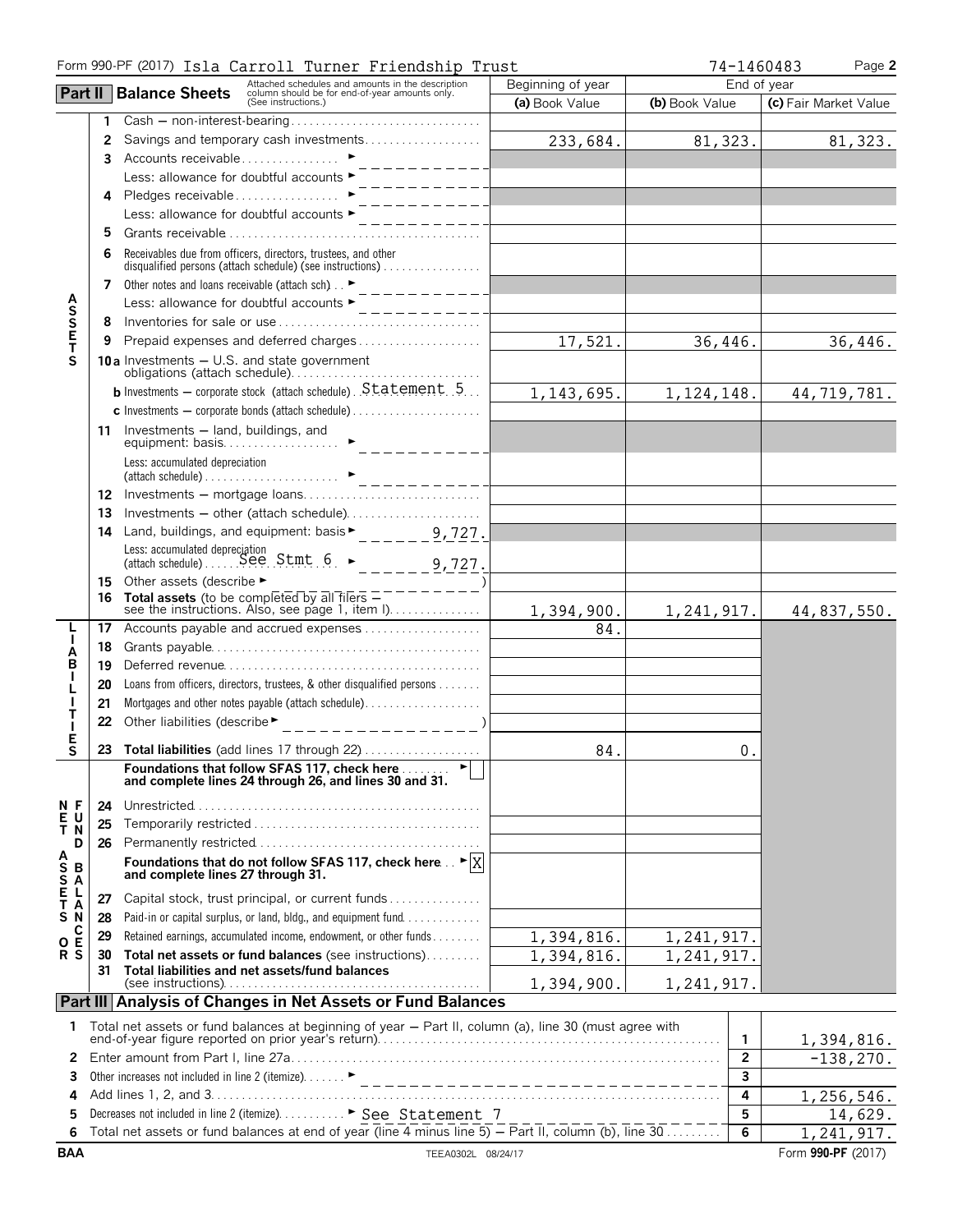|                                                   | Form 990-PF (2017) Isla Carroll Turner Friendship Trust |                                                                                                                                                                                               |                   | 74-1460483     | Page 2                |
|---------------------------------------------------|---------------------------------------------------------|-----------------------------------------------------------------------------------------------------------------------------------------------------------------------------------------------|-------------------|----------------|-----------------------|
|                                                   |                                                         | Attached schedules and amounts in the description<br>column should be for end-of-year amounts only.<br>(See instructions.)<br><b>Part II   Balance Sheets</b>                                 | Beginning of year |                | End of year           |
|                                                   |                                                         |                                                                                                                                                                                               | (a) Book Value    | (b) Book Value | (c) Fair Market Value |
|                                                   | 1                                                       |                                                                                                                                                                                               |                   |                |                       |
|                                                   | 2                                                       | Savings and temporary cash investments                                                                                                                                                        | 233,684.          | 81,323.        | 81,323.               |
|                                                   | 3.                                                      | Accounts receivable ▶                                                                                                                                                                         |                   |                |                       |
|                                                   |                                                         | Less: allowance for doubtful accounts ▶                                                                                                                                                       |                   |                |                       |
|                                                   | 4                                                       | Pledges receivable<br>________                                                                                                                                                                |                   |                |                       |
|                                                   |                                                         | Less: allowance for doubtful accounts ►                                                                                                                                                       |                   |                |                       |
|                                                   | 5                                                       |                                                                                                                                                                                               |                   |                |                       |
|                                                   | 6                                                       | Receivables due from officers, directors, trustees, and other<br>disqualified persons (attach schedule) (see instructions)                                                                    |                   |                |                       |
|                                                   | 7                                                       | Other notes and loans receivable (attach sch) ►<br>__________                                                                                                                                 |                   |                |                       |
|                                                   |                                                         | Less: allowance for doubtful accounts ►                                                                                                                                                       |                   |                |                       |
| <b>ASSET</b>                                      | 8                                                       |                                                                                                                                                                                               |                   |                |                       |
|                                                   | 9                                                       |                                                                                                                                                                                               | 17,521.           | 36,446.        | 36,446.               |
| S                                                 |                                                         | <b>10a</b> Investments $-$ U.S. and state government                                                                                                                                          |                   |                |                       |
|                                                   |                                                         | <b>b</b> Investments - corporate stock (attach schedule). $Statement$ , 5                                                                                                                     | 1,143,695.        | 1,124,148.     | 44,719,781.           |
|                                                   |                                                         |                                                                                                                                                                                               |                   |                |                       |
|                                                   |                                                         | 11 Investments - land, buildings, and                                                                                                                                                         |                   |                |                       |
|                                                   |                                                         |                                                                                                                                                                                               |                   |                |                       |
|                                                   |                                                         |                                                                                                                                                                                               |                   |                |                       |
|                                                   | 13                                                      | Investments - other (attach schedule)                                                                                                                                                         |                   |                |                       |
|                                                   | 14                                                      |                                                                                                                                                                                               |                   |                |                       |
|                                                   |                                                         |                                                                                                                                                                                               |                   |                |                       |
|                                                   | 15                                                      | Other assets (describe ►                                                                                                                                                                      |                   |                |                       |
|                                                   | 16                                                      | <b>Total assets</b> (to be completed by all filers $\overline{-------}$ )<br>see the instructions allow and all filers $\overline{------}$<br>see the instructions. Also, see page 1, item I) | 1,394,900.        | 1,241,917.     | 44,837,550.           |
|                                                   | 17                                                      | Accounts payable and accrued expenses                                                                                                                                                         | 84.               |                |                       |
| A                                                 | 18                                                      |                                                                                                                                                                                               |                   |                |                       |
| B                                                 | 19                                                      |                                                                                                                                                                                               |                   |                |                       |
|                                                   | 20                                                      | Loans from officers, directors, trustees, & other disqualified persons                                                                                                                        |                   |                |                       |
|                                                   | 21                                                      |                                                                                                                                                                                               |                   |                |                       |
| т<br>Е                                            | 22                                                      | Other liabilities (describe▶<br>_ _ _ _ _ _ _ _ _ _ _ _ _ _ _)                                                                                                                                |                   |                |                       |
| S                                                 |                                                         | 23 Total liabilities (add lines 17 through 22)                                                                                                                                                | 84.               | 0.             |                       |
|                                                   |                                                         | Foundations that follow SFAS 117, check here<br>and complete lines 24 through 26, and lines 30 and 31.                                                                                        |                   |                |                       |
| N F                                               | 24                                                      |                                                                                                                                                                                               |                   |                |                       |
| $\frac{\mathsf{E}}{\mathsf{T}}$<br>U<br>N         | 25                                                      |                                                                                                                                                                                               |                   |                |                       |
| D                                                 | 26                                                      |                                                                                                                                                                                               |                   |                |                       |
| $\begin{array}{c}\nA \\ S \\ S \\ A\n\end{array}$ |                                                         | Foundations that do not follow SFAS 117, check here $\therefore$ $\blacktriangleright$ $ X $<br>and complete lines 27 through 31.                                                             |                   |                |                       |
| Е<br>L                                            | 27                                                      | Capital stock, trust principal, or current funds                                                                                                                                              |                   |                |                       |
| Т<br>A<br>N<br>S                                  | 28                                                      | Paid-in or capital surplus, or land, bldg., and equipment fund                                                                                                                                |                   |                |                       |
| C                                                 | 29                                                      | Retained earnings, accumulated income, endowment, or other funds                                                                                                                              | 1,394,816.        | 1,241,917.     |                       |
| O E<br>R S                                        | 30                                                      | Total net assets or fund balances (see instructions)                                                                                                                                          | 1,394,816.        | 1,241,917.     |                       |
|                                                   | 31                                                      | Total liabilities and net assets/fund balances                                                                                                                                                |                   |                |                       |
|                                                   |                                                         | Part III Analysis of Changes in Net Assets or Fund Balances                                                                                                                                   | 1,394,900.        | 1,241,917.     |                       |
|                                                   |                                                         |                                                                                                                                                                                               |                   |                |                       |
| 1                                                 |                                                         | Total net assets or fund balances at beginning of year - Part II, column (a), line 30 (must agree with                                                                                        |                   | 1.             | 1,394,816.            |
| 2                                                 |                                                         |                                                                                                                                                                                               |                   | $\overline{2}$ | $-138, 270.$          |
| 3                                                 |                                                         |                                                                                                                                                                                               |                   | 3              |                       |
| 4                                                 |                                                         |                                                                                                                                                                                               |                   | 4              | 1,256,546.            |
| 5                                                 |                                                         | Decreases not included in line 2 (itemize). ▶ See Statement 7                                                                                                                                 |                   | 5              | 14,629.               |
| 6                                                 |                                                         | Total net assets or fund balances at end of year (line 4 minus line 5) – Part II, column (b), line 30                                                                                         |                   | $\overline{6}$ | 1,241,917.            |
| <b>BAA</b>                                        |                                                         | TEEA0302L 08/24/17                                                                                                                                                                            |                   |                | Form 990-PF (2017)    |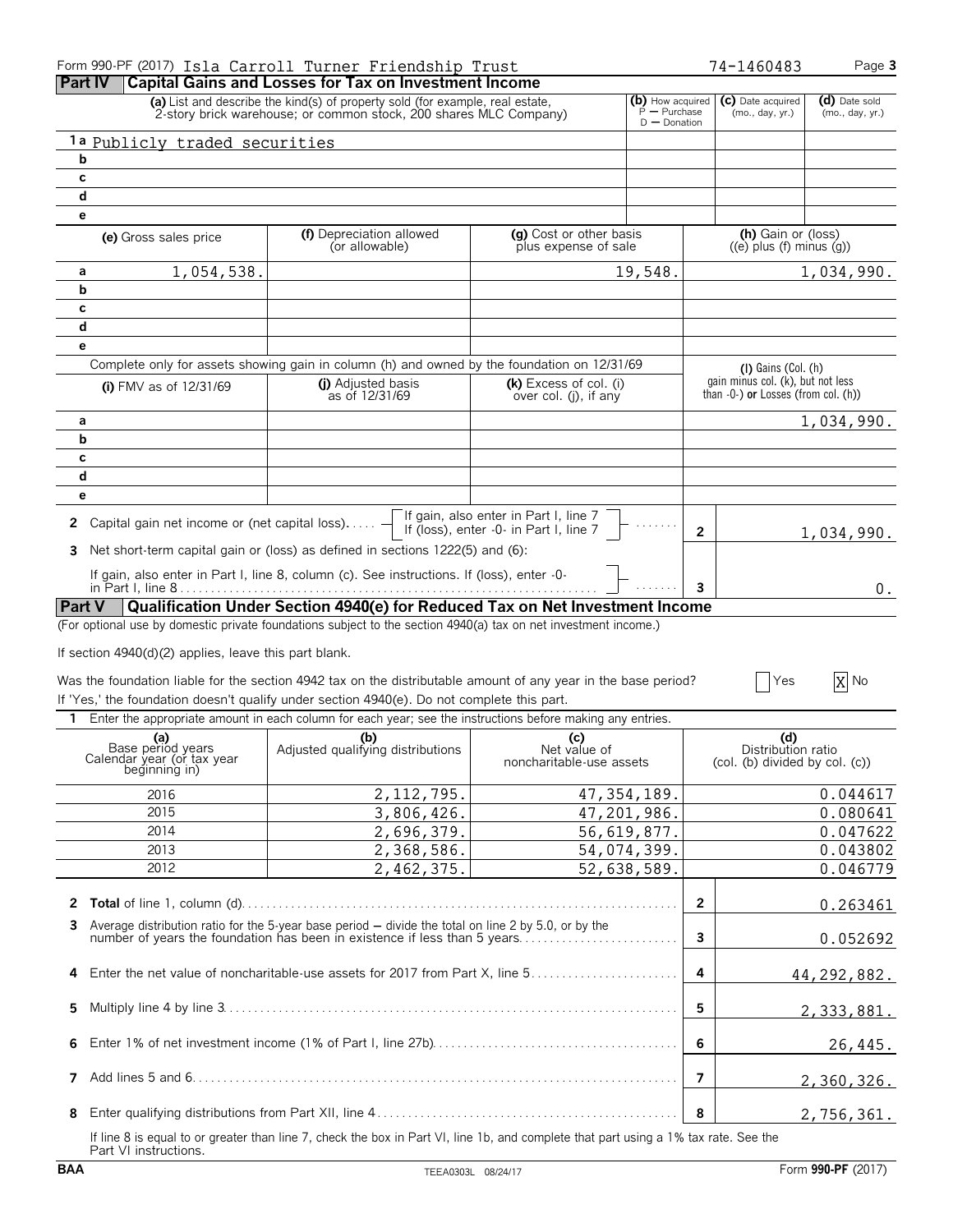|                                                                         | Form 990-PF (2017) Isla Carroll Turner Friendship Trust                                                                                                                           |                                                                                 |                                                                | 74-1460483                                                               | Page 3                           |
|-------------------------------------------------------------------------|-----------------------------------------------------------------------------------------------------------------------------------------------------------------------------------|---------------------------------------------------------------------------------|----------------------------------------------------------------|--------------------------------------------------------------------------|----------------------------------|
| <b>Part IV</b>                                                          | <b>Capital Gains and Losses for Tax on Investment Income</b>                                                                                                                      |                                                                                 |                                                                |                                                                          |                                  |
|                                                                         | (a) List and describe the kind(s) of property sold (for example, real estate,<br>2-story brick warehouse; or common stock, 200 shares MLC Company)                                |                                                                                 | (b) How acquired<br>$\frac{3}{2}$ - Purchase<br>$D -$ Donation | (c) Date acquired<br>(mo., day, yr.)                                     | (d) Date sold<br>(mo., day, yr.) |
| 1a Publicly traded securities                                           |                                                                                                                                                                                   |                                                                                 |                                                                |                                                                          |                                  |
| b                                                                       |                                                                                                                                                                                   |                                                                                 |                                                                |                                                                          |                                  |
| c                                                                       |                                                                                                                                                                                   |                                                                                 |                                                                |                                                                          |                                  |
| d                                                                       |                                                                                                                                                                                   |                                                                                 |                                                                |                                                                          |                                  |
| е                                                                       |                                                                                                                                                                                   |                                                                                 |                                                                |                                                                          |                                  |
| (e) Gross sales price                                                   | (f) Depreciation allowed<br>(or allowable)                                                                                                                                        | (a) Cost or other basis<br>plus expense of sale                                 |                                                                | (h) Gain or (loss)<br>$((e)$ plus $(f)$ minus $(q)$ )                    |                                  |
| 1,054,538.<br>а                                                         |                                                                                                                                                                                   |                                                                                 | 19,548.                                                        |                                                                          | 1,034,990.                       |
| b                                                                       |                                                                                                                                                                                   |                                                                                 |                                                                |                                                                          |                                  |
| С                                                                       |                                                                                                                                                                                   |                                                                                 |                                                                |                                                                          |                                  |
| d                                                                       |                                                                                                                                                                                   |                                                                                 |                                                                |                                                                          |                                  |
| e                                                                       |                                                                                                                                                                                   |                                                                                 |                                                                |                                                                          |                                  |
|                                                                         | Complete only for assets showing gain in column (h) and owned by the foundation on 12/31/69                                                                                       |                                                                                 |                                                                | $(l)$ Gains $(Col.(h)$                                                   |                                  |
| (i) FMV as of $12/31/69$                                                | (i) Adjusted basis<br>as of 12/31/69                                                                                                                                              | (k) Excess of col. (i)<br>over col. (i), if any                                 |                                                                | gain minus col. (k), but not less<br>than -0-) or Losses (from col. (h)) |                                  |
| а                                                                       |                                                                                                                                                                                   |                                                                                 |                                                                |                                                                          | 1,034,990.                       |
| b                                                                       |                                                                                                                                                                                   |                                                                                 |                                                                |                                                                          |                                  |
| С                                                                       |                                                                                                                                                                                   |                                                                                 |                                                                |                                                                          |                                  |
| d                                                                       |                                                                                                                                                                                   |                                                                                 |                                                                |                                                                          |                                  |
| е                                                                       |                                                                                                                                                                                   |                                                                                 |                                                                |                                                                          |                                  |
| 2 Capital gain net income or (net capital loss)                         |                                                                                                                                                                                   | If gain, also enter in Part I, line 7<br>If (loss), enter -0- in Part I, line 7 | $\mathbf{2}$                                                   |                                                                          | 1,034,990.                       |
| 3.                                                                      | Net short-term capital gain or (loss) as defined in sections 1222(5) and (6):                                                                                                     |                                                                                 |                                                                |                                                                          |                                  |
|                                                                         | If gain, also enter in Part I, line 8, column (c). See instructions. If (loss), enter -0-                                                                                         |                                                                                 | $\mathbf{3}$                                                   |                                                                          | 0.                               |
| <b>Part V</b>                                                           | Qualification Under Section 4940(e) for Reduced Tax on Net Investment Income                                                                                                      |                                                                                 |                                                                |                                                                          |                                  |
|                                                                         | (For optional use by domestic private foundations subject to the section 4940(a) tax on net investment income.)                                                                   |                                                                                 |                                                                |                                                                          |                                  |
| If section 4940(d)(2) applies, leave this part blank.                   |                                                                                                                                                                                   |                                                                                 |                                                                |                                                                          |                                  |
|                                                                         |                                                                                                                                                                                   |                                                                                 |                                                                |                                                                          |                                  |
|                                                                         | Was the foundation liable for the section 4942 tax on the distributable amount of any year in the base period?                                                                    |                                                                                 |                                                                | Yes                                                                      | X No                             |
|                                                                         | If 'Yes,' the foundation doesn't qualify under section 4940(e). Do not complete this part.                                                                                        |                                                                                 |                                                                |                                                                          |                                  |
| 1.                                                                      | Enter the appropriate amount in each column for each year; see the instructions before making any entries.                                                                        |                                                                                 |                                                                |                                                                          |                                  |
| (a)<br>Base period years<br>Calendar year (or tax year<br>beginning in) | (b)<br>Adjusted qualifying distributions                                                                                                                                          | (c)<br>Net value of<br>noncharitable-use assets                                 |                                                                | (d)<br>Distribution ratio<br>(col. (b) divided by col. (c))              |                                  |
|                                                                         |                                                                                                                                                                                   |                                                                                 |                                                                |                                                                          |                                  |
| 2016<br>2015                                                            | 2, 112, 795.<br>3,806,426.                                                                                                                                                        | 47, 354, 189.                                                                   |                                                                |                                                                          | 0.044617<br>0.080641             |
| 2014                                                                    |                                                                                                                                                                                   | 47,201,986.<br>56,619,877.                                                      |                                                                |                                                                          |                                  |
| 2013                                                                    | 2,696,379.<br>2,368,586.                                                                                                                                                          | 54,074,399.                                                                     |                                                                |                                                                          | 0.047622                         |
| 2012                                                                    | 2,462,375.                                                                                                                                                                        | 52,638,589.                                                                     |                                                                |                                                                          | 0.043802<br>0.046779             |
|                                                                         |                                                                                                                                                                                   |                                                                                 |                                                                |                                                                          |                                  |
|                                                                         |                                                                                                                                                                                   |                                                                                 | $\overline{2}$                                                 |                                                                          | 0.263461                         |
|                                                                         |                                                                                                                                                                                   |                                                                                 |                                                                |                                                                          |                                  |
| 3                                                                       | Average distribution ratio for the 5-year base period - divide the total on line 2 by 5.0, or by the<br>number of years the foundation has been in existence if less than 5 years |                                                                                 | 3                                                              |                                                                          | 0.052692                         |
| 4                                                                       | Enter the net value of noncharitable-use assets for 2017 from Part X, line 5                                                                                                      |                                                                                 | 4                                                              |                                                                          | 44, 292, 882.                    |
| 5                                                                       |                                                                                                                                                                                   |                                                                                 | 5                                                              |                                                                          | 2,333,881.                       |
| 6                                                                       |                                                                                                                                                                                   |                                                                                 | 6                                                              |                                                                          | 26,445.                          |
| 7                                                                       |                                                                                                                                                                                   |                                                                                 | 7                                                              |                                                                          | 2,360,326.                       |
| 8                                                                       |                                                                                                                                                                                   |                                                                                 | 8                                                              |                                                                          | 2,756,361.                       |
|                                                                         | If line 8 is equal to or greater than line 7, check the box in Part VI, line 1b, and complete that part using a 1% tax rate. See the                                              |                                                                                 |                                                                |                                                                          |                                  |

If line 8 is equal to or greater than line 7, check the box in Part VI, line 1b, and complete that part using a 1% tax rate. See the Part VI instructions.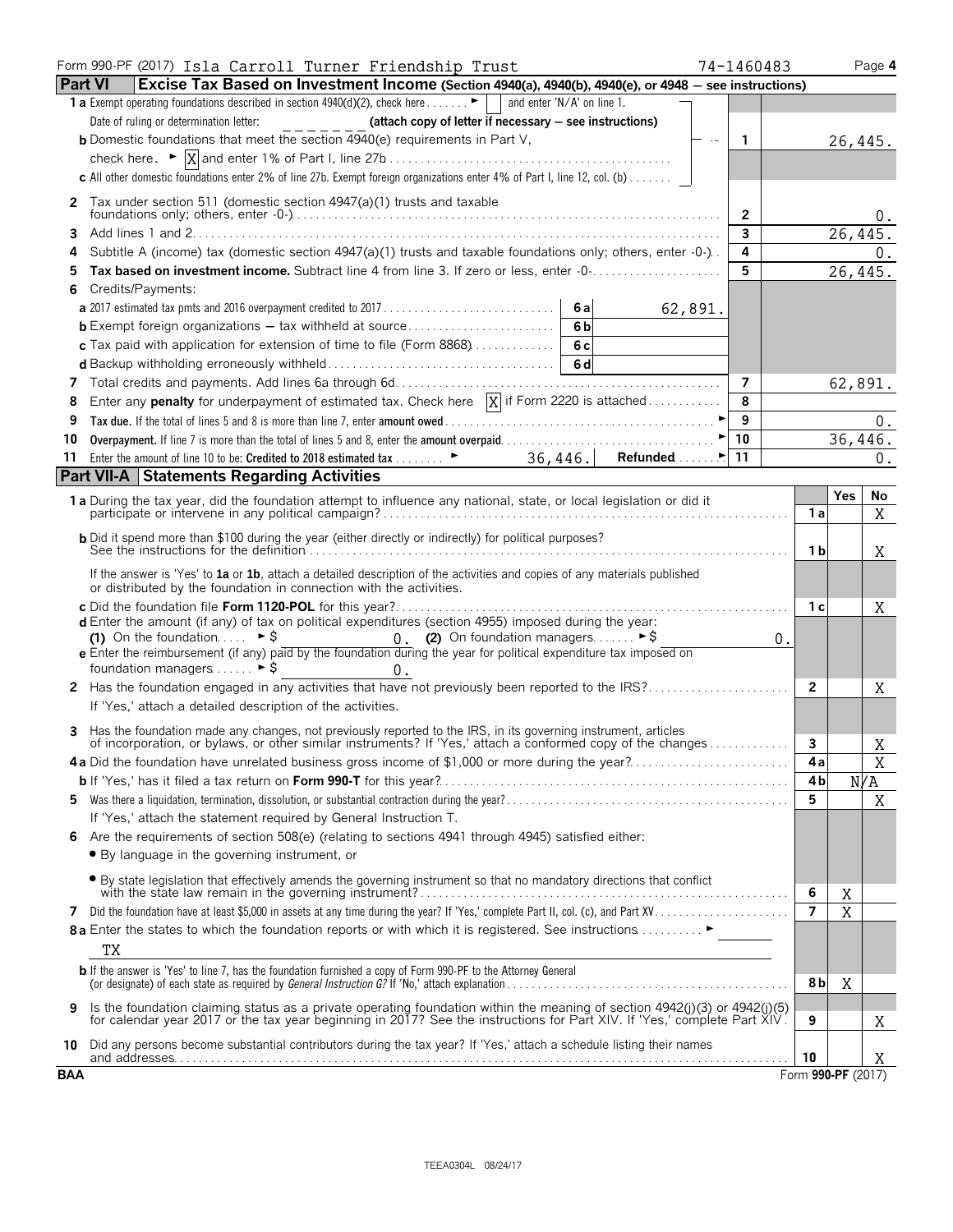|                | Form 990-PF (2017) Isla Carroll Turner Friendship Trust<br>74-1460483                                                                                                                                                                                   |                          |                | Page 4  |
|----------------|---------------------------------------------------------------------------------------------------------------------------------------------------------------------------------------------------------------------------------------------------------|--------------------------|----------------|---------|
| <b>Part VI</b> | Excise Tax Based on Investment Income (Section 4940(a), 4940(b), 4940(e), or 4948 - see instructions)                                                                                                                                                   |                          |                |         |
|                | <b>1 a</b> Exempt operating foundations described in section $4940(d)(2)$ , check here $\dots \cdot \cdot \cdot$                                                                                                                                        |                          |                |         |
|                | Date of ruling or determination letter:<br>(attach copy of letter if necessary - see instructions)                                                                                                                                                      |                          |                |         |
|                | <b>b</b> Domestic foundations that meet the section 4940(e) requirements in Part V,<br>n sa<br>$\overline{1}$                                                                                                                                           |                          | 26,445.        |         |
|                |                                                                                                                                                                                                                                                         |                          |                |         |
|                | c All other domestic foundations enter 2% of line 27b. Exempt foreign organizations enter 4% of Part I, line 12, col. (b)                                                                                                                               |                          |                |         |
| $\mathbf{2}$   | Tax under section 511 (domestic section 4947(a)(1) trusts and taxable                                                                                                                                                                                   |                          |                |         |
|                | 2                                                                                                                                                                                                                                                       |                          |                |         |
| 3              | 3                                                                                                                                                                                                                                                       |                          | 26,445.        |         |
|                | Subtitle A (income) tax (domestic section 4947(a)(1) trusts and taxable foundations only; others, enter -0-).<br>4                                                                                                                                      |                          |                | 0.      |
| 5              | 5<br>Tax based on investment income. Subtract line 4 from line 3. If zero or less, enter -0-                                                                                                                                                            |                          | 26,445.        |         |
| 6              | Credits/Payments:                                                                                                                                                                                                                                       |                          |                |         |
|                | 6al<br>62,891.                                                                                                                                                                                                                                          |                          |                |         |
|                | 6 <sub>b</sub>                                                                                                                                                                                                                                          |                          |                |         |
|                | c Tax paid with application for extension of time to file (Form 8868)<br>6c                                                                                                                                                                             |                          |                |         |
|                |                                                                                                                                                                                                                                                         |                          |                |         |
|                | 7                                                                                                                                                                                                                                                       |                          |                | 62,891. |
| 8              | Enter any <b>penalty</b> for underpayment of estimated tax. Check here $\overline{X}$ if Form 2220 is attached<br>8                                                                                                                                     |                          |                |         |
| 9              | 9                                                                                                                                                                                                                                                       |                          |                | 0.      |
| 10             | $\blacktriangleright$ 10                                                                                                                                                                                                                                |                          | 36,446.        |         |
| 11             |                                                                                                                                                                                                                                                         |                          |                | 0.      |
|                | <b>Part VII-A Statements Regarding Activities</b>                                                                                                                                                                                                       |                          |                |         |
|                | 1 a During the tax year, did the foundation attempt to influence any national, state, or local legislation or did it                                                                                                                                    | 1 a                      | <b>Yes</b>     | No<br>Χ |
|                | <b>b</b> Did it spend more than \$100 during the year (either directly or indirectly) for political purposes?                                                                                                                                           |                          |                |         |
|                |                                                                                                                                                                                                                                                         | 1 b                      |                | Χ       |
|                | If the answer is 'Yes' to 1a or 1b, attach a detailed description of the activities and copies of any materials published<br>or distributed by the foundation in connection with the activities.                                                        |                          |                |         |
|                |                                                                                                                                                                                                                                                         | 1 с                      |                | Χ       |
|                | <b>d</b> Enter the amount (if any) of tax on political expenditures (section 4955) imposed during the year:                                                                                                                                             |                          |                |         |
|                | (1) On the foundation $\triangleright$ \$<br>0. (2) On foundation managers $\triangleright$ \$<br>0.<br>e Enter the reimbursement (if any) paid by the foundation during the year for political expenditure tax imposed on                              |                          |                |         |
|                | foundation managers  ► \$<br>$0$ .                                                                                                                                                                                                                      |                          |                |         |
|                |                                                                                                                                                                                                                                                         | $\overline{2}$           |                | Χ       |
|                | If 'Yes,' attach a detailed description of the activities.                                                                                                                                                                                              |                          |                |         |
|                |                                                                                                                                                                                                                                                         |                          |                |         |
| 3.             | Has the foundation made any changes, not previously reported to the IRS, in its governing instrument, articles<br>of incorporation, or bylaws, or other similar instruments? If 'Yes,' attach a conformed copy of the changes                           | 3                        |                | Χ       |
|                | 4a Did the foundation have unrelated business gross income of \$1,000 or more during the year?                                                                                                                                                          | 4a                       |                | Χ       |
|                |                                                                                                                                                                                                                                                         | 4b                       |                | N/A     |
|                |                                                                                                                                                                                                                                                         | 5                        |                | X       |
|                | If 'Yes,' attach the statement required by General Instruction T.                                                                                                                                                                                       |                          |                |         |
|                | Are the requirements of section 508(e) (relating to sections 4941 through 4945) satisfied either:                                                                                                                                                       |                          |                |         |
|                | • By language in the governing instrument, or                                                                                                                                                                                                           |                          |                |         |
|                | • By state legislation that effectively amends the governing instrument so that no mandatory directions that conflict                                                                                                                                   |                          |                |         |
|                | with the state law remain in the governing instrument?.                                                                                                                                                                                                 | 6                        | Χ              |         |
| 7              |                                                                                                                                                                                                                                                         | $\overline{\phantom{a}}$ | $\overline{X}$ |         |
|                | 8 a Enter the states to which the foundation reports or with which it is registered. See instructions                                                                                                                                                   |                          |                |         |
|                | ТX                                                                                                                                                                                                                                                      |                          |                |         |
|                | <b>b</b> If the answer is 'Yes' to line 7, has the foundation furnished a copy of Form 990-PF to the Attorney General                                                                                                                                   | 8b                       | X              |         |
| 9              | Is the foundation claiming status as a private operating foundation within the meaning of section 4942(j)(3) or 4942(j)(5)<br>for calendar year 2017 or the tax year beginning in 2017? See the instructions for Part XIV. If 'Yes,' complete Part XIV. | 9                        |                | Χ       |
|                | 10 Did any persons become substantial contributors during the tax year? If 'Yes,' attach a schedule listing their names                                                                                                                                 | 10                       |                | Χ       |
| <b>BAA</b>     |                                                                                                                                                                                                                                                         | Form 990-PF (2017)       |                |         |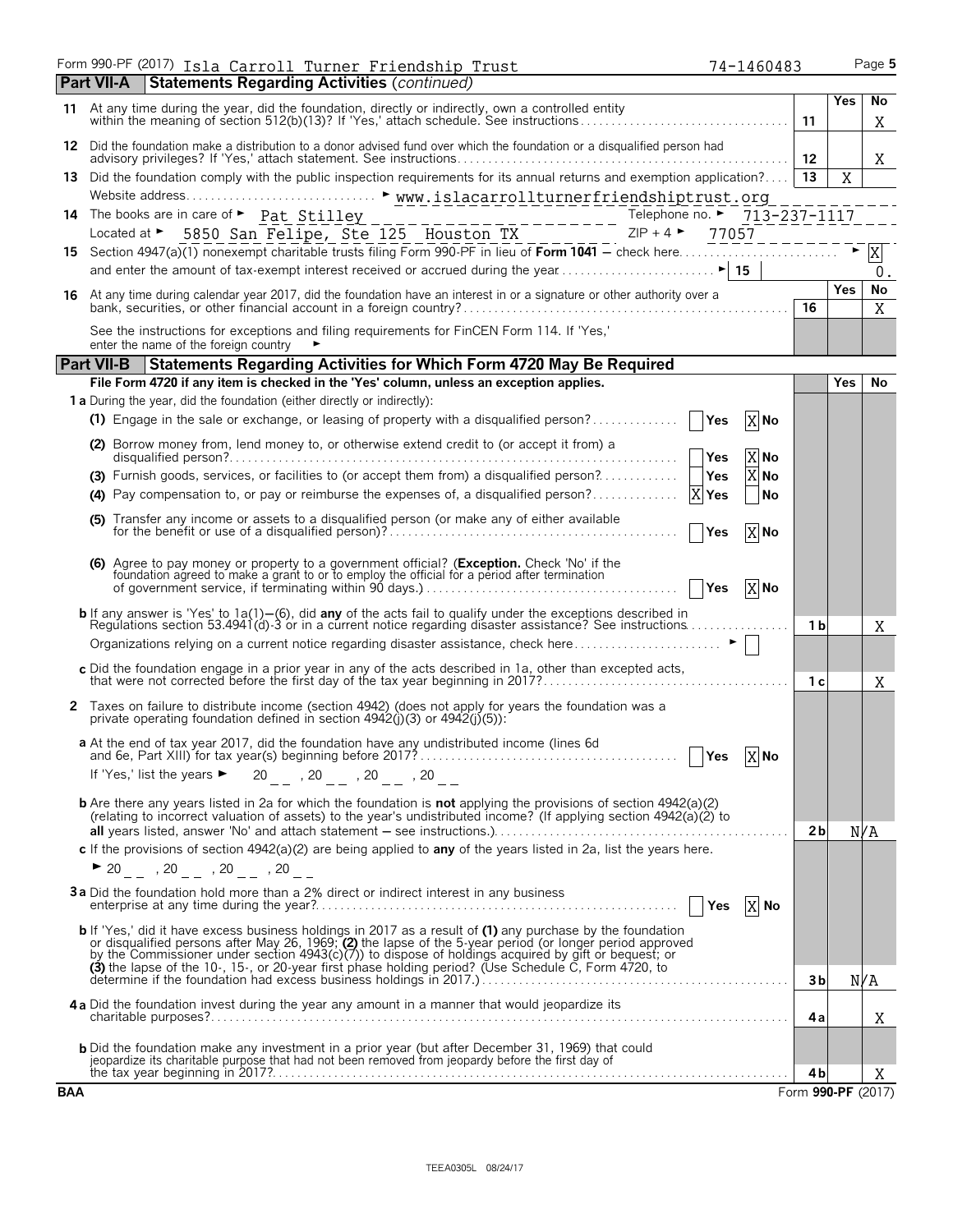| Form 990-PF (2017) Isla <u>Carroll Turner Friendship Trust</u><br>74-1460483                                                                                                                                                                                                                                                    |                |             | Page 5  |
|---------------------------------------------------------------------------------------------------------------------------------------------------------------------------------------------------------------------------------------------------------------------------------------------------------------------------------|----------------|-------------|---------|
| <b>Statements Regarding Activities (continued)</b><br>Part VII-A                                                                                                                                                                                                                                                                |                |             |         |
| 11 At any time during the year, did the foundation, directly or indirectly, own a controlled entity<br>within the meaning of section 512(b)(13)? If 'Yes,' attach schedule. See instructions                                                                                                                                    | 11             | <b>Yes</b>  | No<br>X |
| 12 Did the foundation make a distribution to a donor advised fund over which the foundation or a disqualified person had                                                                                                                                                                                                        | -12            |             | Χ       |
| 13 Did the foundation comply with the public inspection requirements for its annual returns and exemption application?   13                                                                                                                                                                                                     |                | $\mathbf X$ |         |
|                                                                                                                                                                                                                                                                                                                                 |                |             |         |
| 14 The books are in care of Pat Stilley<br>Telephone no. ► 713-237-1117                                                                                                                                                                                                                                                         |                |             |         |
| The books are in care of $\triangleright$ <u>Pat. Stilley</u><br>Located at $\triangleright$ 5850 San Felipe, Ste 125 Houston TX<br>$ZIP + 4$<br>77057                                                                                                                                                                          |                |             |         |
|                                                                                                                                                                                                                                                                                                                                 |                |             |         |
|                                                                                                                                                                                                                                                                                                                                 |                |             | 0.      |
| 16 At any time during calendar year 2017, did the foundation have an interest in or a signature or other authority over a                                                                                                                                                                                                       | 16             | <b>Yes</b>  | No<br>X |
| See the instructions for exceptions and filing requirements for FinCEN Form 114. If 'Yes,'<br>enter the name of the foreign country                                                                                                                                                                                             |                |             |         |
| Part VII-B   Statements Regarding Activities for Which Form 4720 May Be Required                                                                                                                                                                                                                                                |                |             |         |
| File Form 4720 if any item is checked in the 'Yes' column, unless an exception applies.                                                                                                                                                                                                                                         |                | <b>Yes</b>  | No      |
| 1 a During the year, did the foundation (either directly or indirectly):                                                                                                                                                                                                                                                        |                |             |         |
| (1) Engage in the sale or exchange, or leasing of property with a disqualified person?<br>X No<br><b>PYes</b>                                                                                                                                                                                                                   |                |             |         |
| (2) Borrow money from, lend money to, or otherwise extend credit to (or accept it from) a<br>X No<br> Yes                                                                                                                                                                                                                       |                |             |         |
| X No<br><b>P</b> Yes<br>(3) Furnish goods, services, or facilities to (or accept them from) a disqualified person?<br>(4) Pay compensation to, or pay or reimburse the expenses of, a disqualified person?<br>X Yes<br>  No                                                                                                     |                |             |         |
| (5) Transfer any income or assets to a disqualified person (or make any of either available<br> Yes<br>X No                                                                                                                                                                                                                     |                |             |         |
| (6) Agree to pay money or property to a government official? (Exception. Check 'No' if the foundation agreed to make a grant to or to employ the official for a period after termination                                                                                                                                        |                |             |         |
| of government service, if terminating within 90 days.)<br>X No<br><b>PYes</b>                                                                                                                                                                                                                                                   |                |             |         |
| <b>b</b> If any answer is 'Yes' to 1a(1)–(6), did <b>any</b> of the acts fail to qualify under the exceptions described in<br>Regulations section 53.4941(d)-3 or in a current notice regarding disaster assistance? See instructions                                                                                           | 1 b            |             | Χ       |
|                                                                                                                                                                                                                                                                                                                                 |                |             |         |
| c Did the foundation engage in a prior year in any of the acts described in 1a, other than excepted acts,                                                                                                                                                                                                                       | 1 <sub>c</sub> |             | Χ       |
| 2 Taxes on failure to distribute income (section 4942) (does not apply for years the foundation was a<br>private operating foundation defined in section $4942(i)(3)$ or $4942(i)(5)$ :                                                                                                                                         |                |             |         |
| a At the end of tax year 2017, did the foundation have any undistributed income (lines 6d<br>$\begin{array}{ c } \hline \texttt{Yes} & \texttt{X} \texttt{No} \end{array}$                                                                                                                                                      |                |             |         |
| 20 _ _ ,20 _ _ ,20 _ _ ,20 _ _<br>If 'Yes,' list the years $\blacktriangleright$                                                                                                                                                                                                                                                |                |             |         |
| <b>b</b> Are there any years listed in 2a for which the foundation is not applying the provisions of section 4942(a)(2)<br>(relating to incorrect valuation of assets) to the year's undistributed income? (If applying section 4942(a)(2) to                                                                                   | 2 <sub>b</sub> |             | N/A     |
| c If the provisions of section $4942(a)(2)$ are being applied to any of the years listed in 2a, list the years here.                                                                                                                                                                                                            |                |             |         |
| $\triangleright$ 20 _ _ , 20 _ _ , 20 _ _ , 20 _ _                                                                                                                                                                                                                                                                              |                |             |         |
| 3a Did the foundation hold more than a 2% direct or indirect interest in any business<br>  Yes  X No                                                                                                                                                                                                                            |                |             |         |
| b If 'Yes,' did it have excess business holdings in 2017 as a result of (1) any purchase by the foundation<br>or disqualified persons after May 26, 1969; (2) the lapse of the 5-year period (or longer period approved<br>by the Commissioner under section 4943(c)(7)) to dispose of holdings acquired by gift or bequest; or |                |             |         |
|                                                                                                                                                                                                                                                                                                                                 |                |             |         |
|                                                                                                                                                                                                                                                                                                                                 | 3b             |             | N/A     |
| 4a Did the foundation invest during the year any amount in a manner that would jeopardize its                                                                                                                                                                                                                                   |                |             |         |
|                                                                                                                                                                                                                                                                                                                                 | 4a             |             | Χ       |
| <b>b</b> Did the foundation make any investment in a prior year (but after December 31, 1969) that could                                                                                                                                                                                                                        |                |             |         |
| jeopardize its charitable purpose that had not been removed from jeopardy before the first day of<br>the tax year beginning in 2017?                                                                                                                                                                                            | 4b             |             | Χ       |
|                                                                                                                                                                                                                                                                                                                                 |                |             |         |

 $\overline{\phantom{a}}$ 

**BAA** Form **990-PF** (2017)

| '4-1460483 |  |
|------------|--|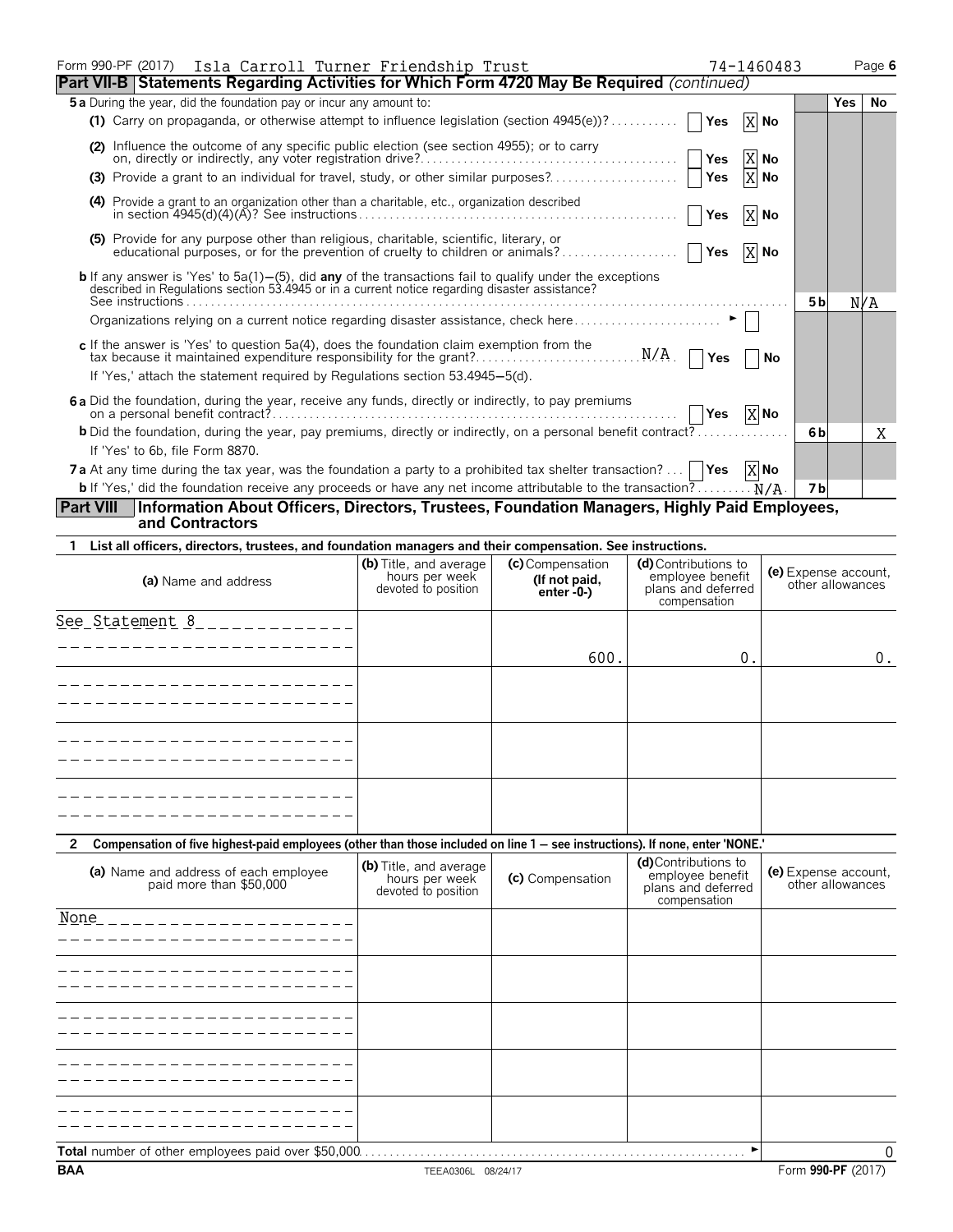| Form 990-PF (2017) Isla Carroll Turner Friendship Trust                                                                                                                                                              |     | 74-1460483 |                |     | Page 6 |
|----------------------------------------------------------------------------------------------------------------------------------------------------------------------------------------------------------------------|-----|------------|----------------|-----|--------|
| <b>Part VII-B Statements Regarding Activities for Which Form 4720 May Be Required (continued)</b>                                                                                                                    |     |            |                |     |        |
| 5 a During the year, did the foundation pay or incur any amount to:                                                                                                                                                  |     |            |                | Yes | No     |
|                                                                                                                                                                                                                      |     | $X$ No     |                |     |        |
| (2) Influence the outcome of any specific public election (see section 4955); or to carry                                                                                                                            |     | X No       |                |     |        |
|                                                                                                                                                                                                                      |     | X No       |                |     |        |
| (4) Provide a grant to an organization other than a charitable, etc., organization described                                                                                                                         |     | X No       |                |     |        |
| (5) Provide for any purpose other than religious, charitable, scientific, literary, or                                                                                                                               |     | X No       |                |     |        |
| <b>b</b> If any answer is 'Yes' to 5a(1)–(5), did <b>any</b> of the transactions fail to qualify under the exceptions described in Regulations section 53.4945 or in a current notice regarding disaster assistance? |     |            | 5 <sub>b</sub> | N/A |        |
|                                                                                                                                                                                                                      |     |            |                |     |        |
| If 'Yes,' attach the statement required by Regulations section 53.4945–5(d).                                                                                                                                         |     | No         |                |     |        |
| 6a Did the foundation, during the year, receive any funds, directly or indirectly, to pay premiums                                                                                                                   | Yes | X No       |                |     |        |
| <b>b</b> Did the foundation, during the year, pay premiums, directly or indirectly, on a personal benefit contract?                                                                                                  |     |            | 6 b            |     | X      |
| If 'Yes' to 6b, file Form 8870.                                                                                                                                                                                      |     |            |                |     |        |
| <b>7a</b> At any time during the tax year, was the foundation a party to a prohibited tax shelter transaction?    <b>Yes</b> $X$ <b>No</b>                                                                           |     |            |                |     |        |
| <b>b</b> If 'Yes,' did the foundation receive any proceeds or have any net income attributable to the transaction? $N/A$ .                                                                                           |     |            | <b>7b</b>      |     |        |
| Information About Officers, Directors, Trustees, Foundation Managers, Highly Paid Employees,<br><b>Part VIII</b><br>and Contractors                                                                                  |     |            |                |     |        |
| 1 List all officers, directors, trustees, and foundation managers and their compensation. See instructions.                                                                                                          |     |            |                |     |        |

| (a) Name and address                                                                                                                         | (b) Title, and average<br>hours per week<br>devoted to position | (c) Compensation<br>(If not paid,<br>$enter -0-$ | (d) Contributions to<br>employee benefit<br>plans and deferred<br>compensation | (e) Expense account,<br>other allowances |
|----------------------------------------------------------------------------------------------------------------------------------------------|-----------------------------------------------------------------|--------------------------------------------------|--------------------------------------------------------------------------------|------------------------------------------|
| See_Statement 8______________                                                                                                                |                                                                 |                                                  |                                                                                |                                          |
|                                                                                                                                              |                                                                 | 600.                                             | 0.                                                                             | $0$ .                                    |
| -----------------                                                                                                                            |                                                                 |                                                  |                                                                                |                                          |
|                                                                                                                                              |                                                                 |                                                  |                                                                                |                                          |
|                                                                                                                                              |                                                                 |                                                  |                                                                                |                                          |
|                                                                                                                                              |                                                                 |                                                  |                                                                                |                                          |
|                                                                                                                                              |                                                                 |                                                  |                                                                                |                                          |
|                                                                                                                                              |                                                                 |                                                  |                                                                                |                                          |
| Compensation of five highest-paid employees (other than those included on line 1 - see instructions). If none, enter 'NONE.'<br>$\mathbf{2}$ |                                                                 |                                                  |                                                                                |                                          |
| (a) Name and address of each employee<br>paid more than \$50,000                                                                             | (b) Title, and average<br>hours per week<br>devoted to position | (c) Compensation                                 | (d)Contributions to<br>employee benefit<br>plans and deferred<br>compensation  | (e) Expense account,<br>other allowances |
| None<br>_ _ _ _ _ _ _ _ _ _ _ _ _ _ _ _ _ _ _ _                                                                                              |                                                                 |                                                  |                                                                                |                                          |
| - - - - - - - - - - - - - - - - - -                                                                                                          |                                                                 |                                                  |                                                                                |                                          |
| $- - - - - - - - - -$<br>-----------------                                                                                                   |                                                                 |                                                  |                                                                                |                                          |
|                                                                                                                                              |                                                                 |                                                  |                                                                                |                                          |
|                                                                                                                                              |                                                                 |                                                  |                                                                                |                                          |
|                                                                                                                                              |                                                                 |                                                  | $\blacktriangleright$                                                          | 0                                        |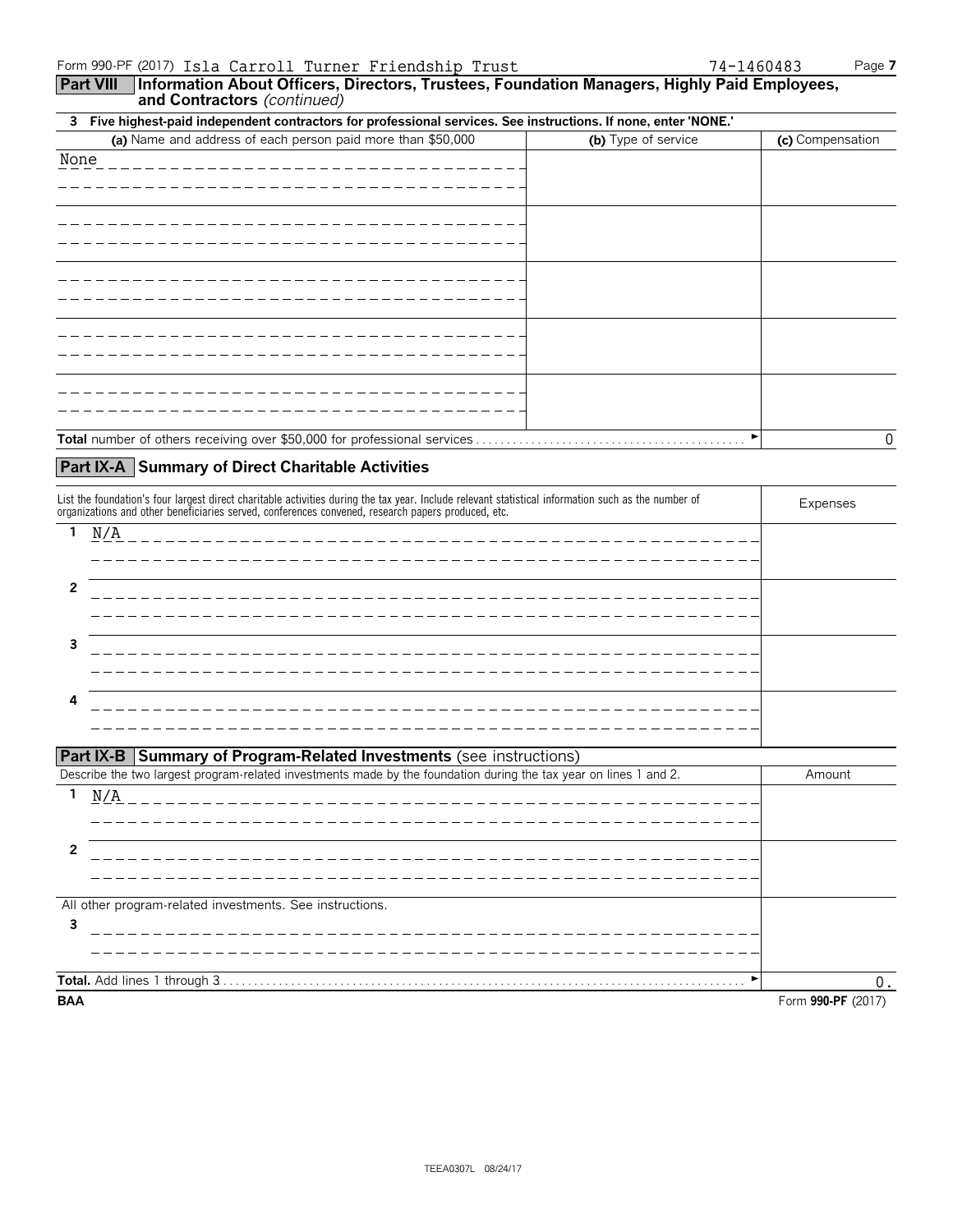**Part VIII Information About Officers, Directors, Trustees, Foundation Managers, Highly Paid Employees, and Contractors** *(continued)*

| 3 Five highest-paid independent contractors for professional services. See instructions. If none, enter 'NONE.' |                     |                  |  |  |
|-----------------------------------------------------------------------------------------------------------------|---------------------|------------------|--|--|
| (a) Name and address of each person paid more than \$50,000                                                     | (b) Type of service | (c) Compensation |  |  |
| None                                                                                                            |                     |                  |  |  |
|                                                                                                                 |                     |                  |  |  |
|                                                                                                                 |                     |                  |  |  |
|                                                                                                                 |                     |                  |  |  |
|                                                                                                                 |                     |                  |  |  |
|                                                                                                                 |                     |                  |  |  |
|                                                                                                                 |                     |                  |  |  |
|                                                                                                                 |                     |                  |  |  |
|                                                                                                                 |                     |                  |  |  |
|                                                                                                                 |                     |                  |  |  |
| Total number of others receiving over \$50,000 for professional services.                                       | ►                   | 0                |  |  |

## **Part IX-A Summary of Direct Charitable Activities**

| List the foundation's four largest direct charitable activities during the tax year. Include relevant statistical information such as the number of<br>organizations and other beneficiaries served, conferences convened, research papers produced, etc. | Expenses                              |  |
|-----------------------------------------------------------------------------------------------------------------------------------------------------------------------------------------------------------------------------------------------------------|---------------------------------------|--|
|                                                                                                                                                                                                                                                           | N/A<br>______________________________ |  |
|                                                                                                                                                                                                                                                           | -------------------                   |  |
| 3                                                                                                                                                                                                                                                         | ----------------                      |  |
| 4                                                                                                                                                                                                                                                         |                                       |  |

|  | <b>Part IX-B   Summary of Program-Related Investments (see instructions)</b> |  |
|--|------------------------------------------------------------------------------|--|
|--|------------------------------------------------------------------------------|--|

| Describe the two largest program-related investments made by the foundation during the tax year on lines 1 and 2.                                                  | Amount             |
|--------------------------------------------------------------------------------------------------------------------------------------------------------------------|--------------------|
| N/A<br><u> 1999 - Alexandr Alexandr Alexandr Alexandr Alexandr Alexandr Alexandr Alexandr Alexandr Alexandr Alexandr Alex</u><br>_________________________________ |                    |
|                                                                                                                                                                    |                    |
| All other program-related investments. See instructions.                                                                                                           |                    |
| 3                                                                                                                                                                  |                    |
|                                                                                                                                                                    |                    |
| <b>BAA</b>                                                                                                                                                         | Form 990-PF (2017) |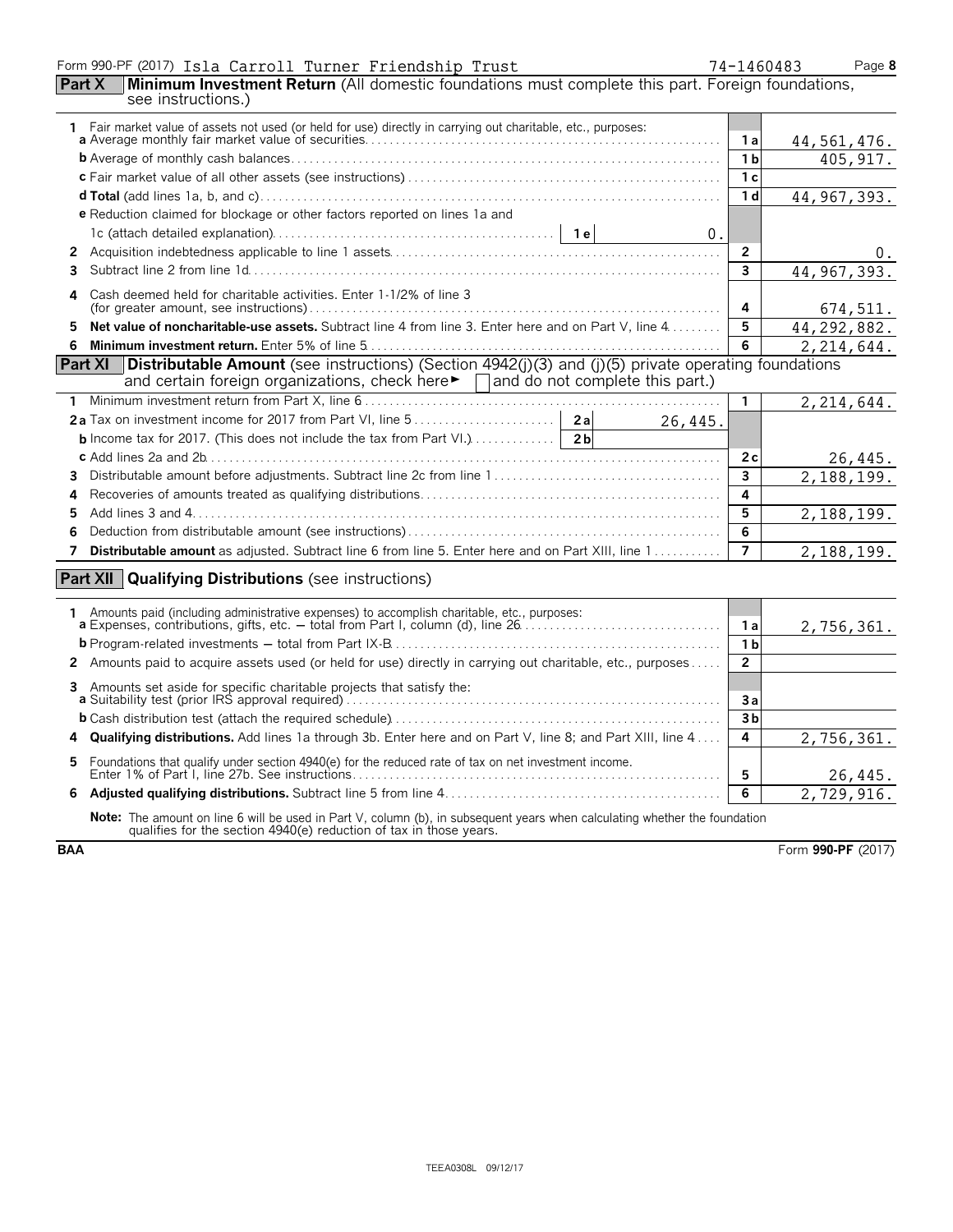### Form 990-PF (2017) Page **8** Isla Carroll Turner Friendship Trust 74-1460483

| 74-14604 |
|----------|
|          |

| <b>Part X</b>         | Minimum Investment Return (All domestic foundations must complete this part. Foreign foundations,<br>see instructions.)                                                                          |                         |               |
|-----------------------|--------------------------------------------------------------------------------------------------------------------------------------------------------------------------------------------------|-------------------------|---------------|
|                       |                                                                                                                                                                                                  |                         |               |
|                       |                                                                                                                                                                                                  | 1 a                     | 44, 561, 476. |
|                       |                                                                                                                                                                                                  | 1 <sub>b</sub>          | 405, 917.     |
|                       |                                                                                                                                                                                                  | 1 <sub>c</sub>          |               |
|                       |                                                                                                                                                                                                  | 1 <sub>d</sub>          | 44, 967, 393. |
|                       | e Reduction claimed for blockage or other factors reported on lines 1a and                                                                                                                       |                         |               |
|                       | 0.                                                                                                                                                                                               |                         |               |
| $\mathbf{2}^{\prime}$ |                                                                                                                                                                                                  | $\overline{2}$          |               |
| 3                     |                                                                                                                                                                                                  | $\overline{\mathbf{3}}$ | 44, 967, 393. |
| 4                     | Cash deemed held for charitable activities. Enter 1-1/2% of line 3                                                                                                                               | 4                       | 674,511.      |
| 5                     | Net value of noncharitable-use assets. Subtract line 4 from line 3. Enter here and on Part V, line 4                                                                                             | 5                       | 44, 292, 882. |
| 6                     |                                                                                                                                                                                                  | 6                       | 2, 214, 644.  |
|                       | <b>Part XI</b> Distributable Amount (see instructions) (Section 4942(j)(3) and (j)(5) private operating foundations                                                                              |                         |               |
|                       | and certain foreign organizations, check here $\blacktriangleright \Box$ and do not complete this part.)                                                                                         |                         |               |
| 1.                    |                                                                                                                                                                                                  | $\mathbf{1}$            | 2, 214, 644.  |
|                       | 26,445.                                                                                                                                                                                          |                         |               |
|                       | <b>b</b> Income tax for 2017. (This does not include the tax from Part VI.) $\ldots$ [2b]                                                                                                        |                         |               |
|                       |                                                                                                                                                                                                  | 2c                      | 26,445.       |
| 3                     |                                                                                                                                                                                                  | $\overline{\mathbf{3}}$ | 2,188,199.    |
| 4                     |                                                                                                                                                                                                  | 4                       |               |
| 5                     |                                                                                                                                                                                                  | 5                       | 2,188,199.    |
| 6                     |                                                                                                                                                                                                  | 6                       |               |
| 7                     | Distributable amount as adjusted. Subtract line 6 from line 5. Enter here and on Part XIII, line 1                                                                                               | $\overline{7}$          | 2,188,199.    |
|                       | <b>Part XII</b> Qualifying Distributions (see instructions)                                                                                                                                      |                         |               |
|                       |                                                                                                                                                                                                  |                         |               |
|                       | 1 Amounts paid (including administrative expenses) to accomplish charitable, etc., purposes:<br><b>a</b> Expenses, contributions, gifts, etc. – total from Part I, column (d), line 26           |                         |               |
|                       |                                                                                                                                                                                                  | 1 a                     | 2,756,361.    |
|                       |                                                                                                                                                                                                  | $\overline{1}$          |               |
|                       | 2 Amounts paid to acquire assets used (or held for use) directly in carrying out charitable, etc., purposes                                                                                      | $\overline{2}$          |               |
| 3                     | Amounts set aside for specific charitable projects that satisfy the:                                                                                                                             | 3a                      |               |
|                       |                                                                                                                                                                                                  | 3 <sub>b</sub>          |               |
| 4                     | Qualifying distributions. Add lines 1a through 3b. Enter here and on Part V, line 8; and Part XIII, line 4                                                                                       | 4                       | 2,756,361.    |
| 5                     | Foundations that qualify under section 4940(e) for the reduced rate of tax on net investment income.                                                                                             | 5                       | 26,445.       |
| 6                     |                                                                                                                                                                                                  | 6                       | 2,729,916.    |
|                       | Note: The amount on line 6 will be used in Part V, column (b), in subsequent years when calculating whether the foundation<br>qualifies for the section 4940(e) reduction of tax in those years. |                         |               |

**BAA** Form **990-PF** (2017)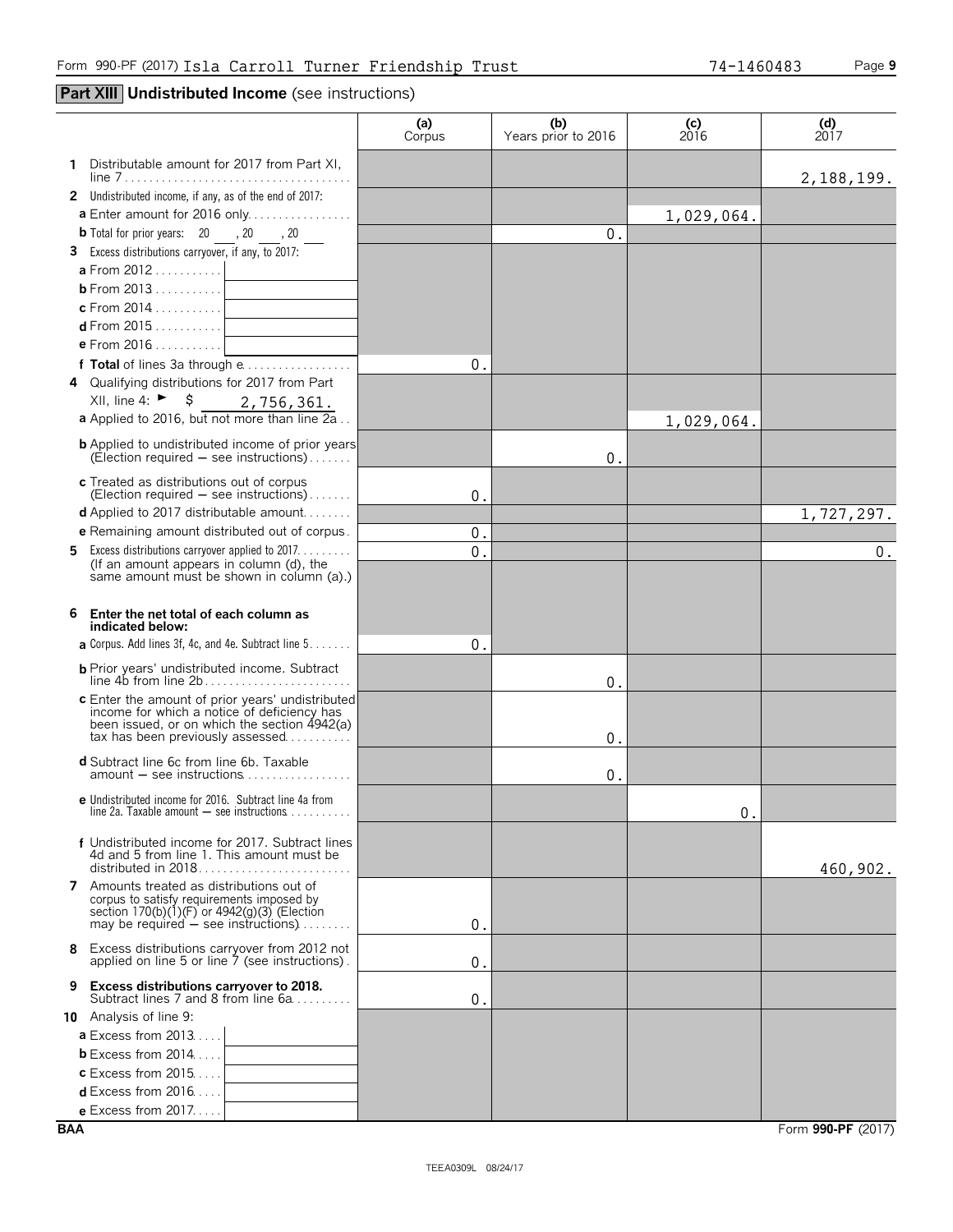┯

## **Part XIII Undistributed Income** (see instructions)

|                                                                                                      | (a)<br>Corpus | (b)<br>Years prior to 2016 | (c)<br>2016  | $\begin{array}{c} \text{(d)} \\ \text{2017} \end{array}$ |
|------------------------------------------------------------------------------------------------------|---------------|----------------------------|--------------|----------------------------------------------------------|
| 1 Distributable amount for 2017 from Part XI,                                                        |               |                            |              |                                                          |
| 2 Undistributed income, if any, as of the end of 2017:                                               |               |                            |              | 2, 188, 199.                                             |
| <b>a</b> Enter amount for 2016 only                                                                  |               |                            | 1,029,064.   |                                                          |
| <b>b</b> Total for prior years: $20$ , $20$ , $20$                                                   |               | 0.                         |              |                                                          |
| 3 Excess distributions carryover, if any, to 2017:                                                   |               |                            |              |                                                          |
|                                                                                                      |               |                            |              |                                                          |
|                                                                                                      |               |                            |              |                                                          |
| c From 2014 . $\ldots$ $\qquad \qquad$                                                               |               |                            |              |                                                          |
|                                                                                                      |               |                            |              |                                                          |
| e From 2016 1                                                                                        |               |                            |              |                                                          |
| f Total of lines 3a through e                                                                        | 0.            |                            |              |                                                          |
| 4 Qualifying distributions for 2017 from Part<br>XII, line 4: ► $\frac{1}{5}$                        |               |                            |              |                                                          |
| 2,756,361.<br>a Applied to 2016, but not more than line 2a                                           |               |                            |              |                                                          |
|                                                                                                      |               |                            | 1,029,064.   |                                                          |
| <b>b</b> Applied to undistributed income of prior years<br>$(Electron required - see instructions)$  |               | 0.                         |              |                                                          |
| c Treated as distributions out of corpus                                                             |               |                            |              |                                                          |
| (Election required $-$ see instructions)                                                             | 0.            |                            |              |                                                          |
| <b>d</b> Applied to 2017 distributable amount                                                        |               |                            |              | 1,727,297.                                               |
| <b>e</b> Remaining amount distributed out of corpus.                                                 | 0.            |                            |              |                                                          |
| <b>5</b> Excess distributions carryover applied to 2017.<br>(If an amount appears in column (d), the | 0.            |                            |              | $0$ .                                                    |
| same amount must be shown in column (a).)                                                            |               |                            |              |                                                          |
|                                                                                                      |               |                            |              |                                                          |
| 6<br>Enter the net total of each column as                                                           |               |                            |              |                                                          |
| indicated below:<br><b>a</b> Corpus. Add lines 3f, 4c, and 4e. Subtract line $5 \ldots \ldots$       | 0.            |                            |              |                                                          |
|                                                                                                      |               |                            |              |                                                          |
|                                                                                                      |               | 0.                         |              |                                                          |
| c Enter the amount of prior years' undistributed                                                     |               |                            |              |                                                          |
| income for which a notice of deficiency has<br>been issued, or on which the section 4942(a)          |               |                            |              |                                                          |
| $\text{tax}$ has been previously assessed $\ldots$                                                   |               | 0.                         |              |                                                          |
| <b>d</b> Subtract line 6c from line 6b. Taxable                                                      |               |                            |              |                                                          |
|                                                                                                      |               | 0.                         |              |                                                          |
| e Undistributed income for 2016. Subtract line 4a from                                               |               |                            |              |                                                          |
| line 2a. Taxable amount $-$ see instructions $\ldots \ldots \ldots$                                  |               |                            | $\mathbf{0}$ |                                                          |
| f Undistributed income for 2017. Subtract lines                                                      |               |                            |              |                                                          |
| 4d and 5 from line 1. This amount must be                                                            |               |                            |              | 460,902.                                                 |
| <b>7</b> Amounts treated as distributions out of                                                     |               |                            |              |                                                          |
| corpus to satisfy requirements imposed by                                                            |               |                            |              |                                                          |
| section 170(b)(1)(F) or 4942(g)(3) (Election<br>may be required $-$ see instructions)                | 0.            |                            |              |                                                          |
| Excess distributions carryover from 2012 not<br>8                                                    |               |                            |              |                                                          |
| applied on line 5 or line 7 (see instructions).                                                      | 0.            |                            |              |                                                          |
| <b>Excess distributions carryover to 2018.</b><br>9                                                  |               |                            |              |                                                          |
| Subtract lines 7 and 8 from line 6a                                                                  | 0.            |                            |              |                                                          |
| 10 Analysis of line 9:<br>$a$ Excess from 2013                                                       |               |                            |              |                                                          |
| <b>b</b> Excess from 2014                                                                            |               |                            |              |                                                          |
| <b>c</b> Excess from $2015$                                                                          |               |                            |              |                                                          |
| <b>d</b> Excess from $2016$                                                                          |               |                            |              |                                                          |
| e Excess from 2017.                                                                                  |               |                            |              |                                                          |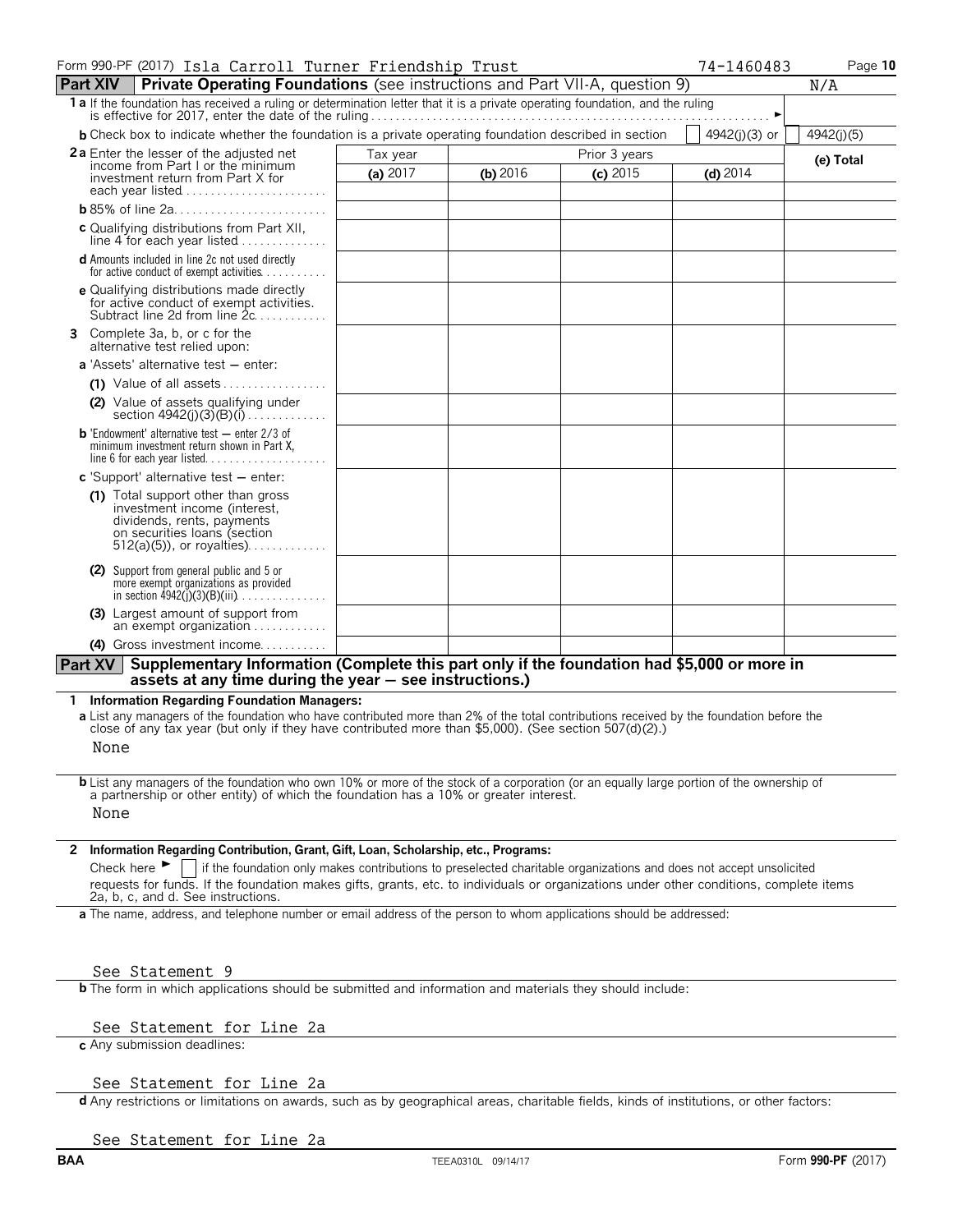| Form 990-PF (2017) Isla Carroll Turner Friendship Trust                                                                                                                                                                                           |            |            |               | 74-1460483    | Page 10    |
|---------------------------------------------------------------------------------------------------------------------------------------------------------------------------------------------------------------------------------------------------|------------|------------|---------------|---------------|------------|
| <b>Part XIV</b><br><b>Private Operating Foundations</b> (see instructions and Part VII-A, question 9)                                                                                                                                             |            |            |               |               | N/A        |
| 1 a If the foundation has received a ruling or determination letter that it is a private operating foundation, and the ruling                                                                                                                     |            |            |               |               |            |
| <b>b</b> Check box to indicate whether the foundation is a private operating foundation described in section                                                                                                                                      |            |            |               | 4942(j)(3) or | 4942(j)(5) |
| <b>2a</b> Enter the lesser of the adjusted net<br>income from Part I or the minimum                                                                                                                                                               | Tax year   |            | Prior 3 years |               | (e) Total  |
| investment return from Part X for                                                                                                                                                                                                                 | (a) $2017$ | (b) $2016$ | $(c)$ 2015    | $(d)$ 2014    |            |
| each year listed                                                                                                                                                                                                                                  |            |            |               |               |            |
| c Qualifying distributions from Part XII,                                                                                                                                                                                                         |            |            |               |               |            |
| line $4$ for each year listed $\ldots$                                                                                                                                                                                                            |            |            |               |               |            |
| <b>d</b> Amounts included in line 2c not used directly<br>for active conduct of exempt activities                                                                                                                                                 |            |            |               |               |            |
| e Qualifying distributions made directly<br>for active conduct of exempt activities.<br>Subtract line 2d from line $2c, \ldots, \ldots$                                                                                                           |            |            |               |               |            |
| Complete 3a, b, or c for the<br>alternative test relied upon:                                                                                                                                                                                     |            |            |               |               |            |
| <b>a</b> 'Assets' alternative test – enter:                                                                                                                                                                                                       |            |            |               |               |            |
|                                                                                                                                                                                                                                                   |            |            |               |               |            |
| (2) Value of assets qualifying under<br>section $4942(j)(3)(B)(i)$                                                                                                                                                                                |            |            |               |               |            |
| <b>b</b> 'Endowment' alternative test $-$ enter 2/3 of<br>minimum investment return shown in Part X,                                                                                                                                              |            |            |               |               |            |
| $c$ 'Support' alternative test $-$ enter:                                                                                                                                                                                                         |            |            |               |               |            |
| (1) Total support other than gross<br>investment income (interest,<br>dividends, rents, payments<br>on securities loans (section<br>$512(a)(5)$ , or royalties)                                                                                   |            |            |               |               |            |
| (2) Support from general public and 5 or<br>more exempt organizations as provided<br>in section $4942(i)(3)(B)(iii)$                                                                                                                              |            |            |               |               |            |
| (3) Largest amount of support from<br>an exempt organization                                                                                                                                                                                      |            |            |               |               |            |
| (4) Gross investment income                                                                                                                                                                                                                       |            |            |               |               |            |
| Part XV Supplementary Information (Complete this part only if the foundation had \$5,000 or more in<br>assets at any time during the year - see instructions.)                                                                                    |            |            |               |               |            |
| <b>Information Regarding Foundation Managers:</b><br>1                                                                                                                                                                                            |            |            |               |               |            |
| a List any managers of the foundation who have contributed more than 2% of the total contributions received by the foundation before the<br>close of any tax year (but only if they have contributed more than \$5,000). (See section 507(d)(2).) |            |            |               |               |            |
| None                                                                                                                                                                                                                                              |            |            |               |               |            |
| <b>b</b> List any managers of the foundation who own 10% or more of the stock of a corporation (or an equally large portion of the ownership of                                                                                                   |            |            |               |               |            |
| a partnership or other entity) of which the foundation has a 10% or greater interest.<br>None                                                                                                                                                     |            |            |               |               |            |
|                                                                                                                                                                                                                                                   |            |            |               |               |            |
| Information Regarding Contribution, Grant, Gift, Loan, Scholarship, etc., Programs:<br>Check here $\blacktriangleright$   if the foundation only makes contributions to preselected charitable organizations and does not accept unsolicited      |            |            |               |               |            |
| requests for funds. If the foundation makes gifts, grants, etc. to individuals or organizations under other conditions, complete items<br>2a, b, c, and d. See instructions.                                                                      |            |            |               |               |            |
| a The name, address, and telephone number or email address of the person to whom applications should be addressed:                                                                                                                                |            |            |               |               |            |
| See Statement 9                                                                                                                                                                                                                                   |            |            |               |               |            |
| <b>b</b> The form in which applications should be submitted and information and materials they should include:                                                                                                                                    |            |            |               |               |            |
| See Statement for Line 2a                                                                                                                                                                                                                         |            |            |               |               |            |

# **c** Any submission deadlines:

See Statement for Line 2a

**d** Any restrictions or limitations on awards, such as by geographical areas, charitable fields, kinds of institutions, or other factors:

See Statement for Line 2a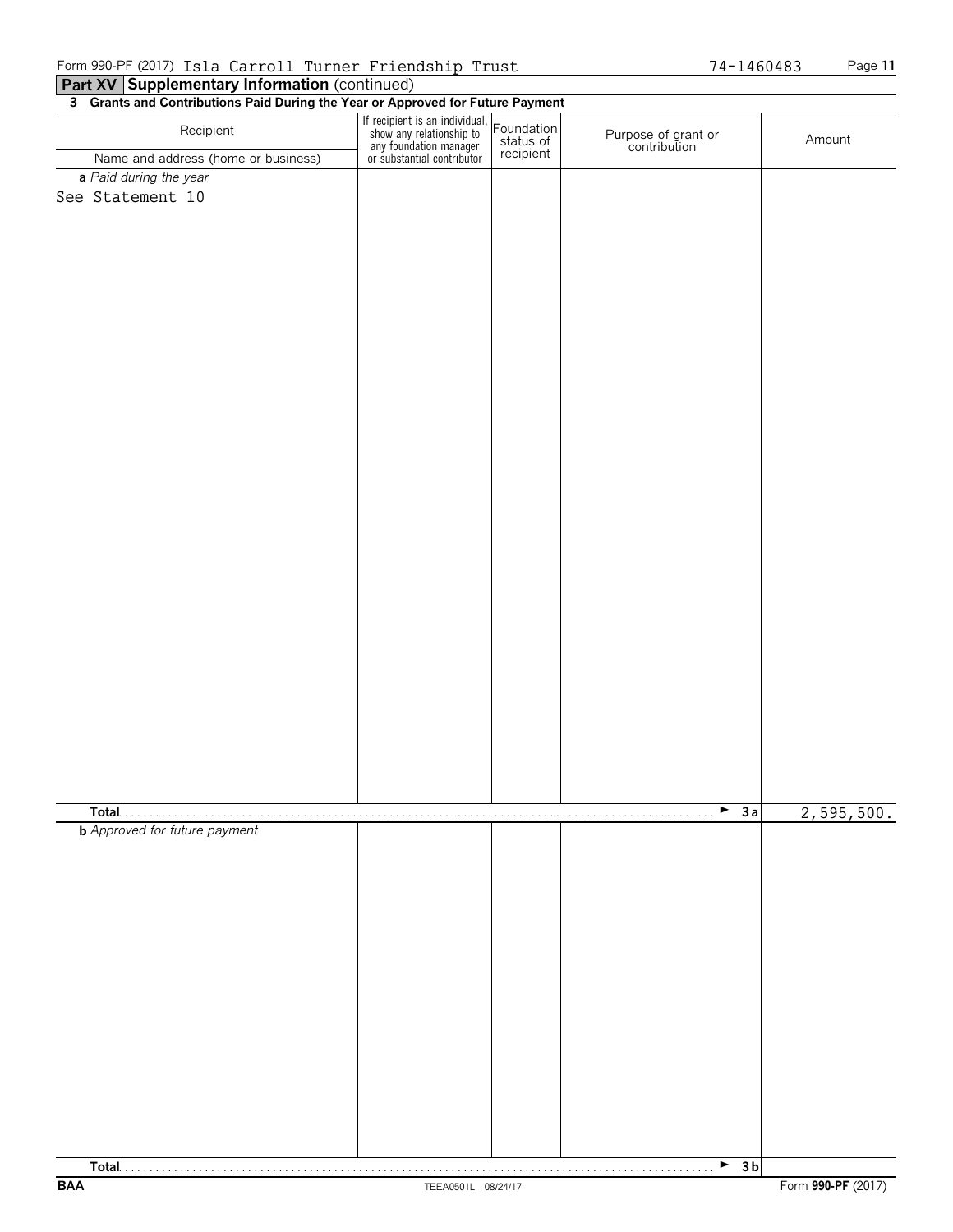| 3 Grants and Contributions Paid During the Year or Approved for Future Payment |                                                                                                                    |                                      |                                     |            |  |  |  |
|--------------------------------------------------------------------------------|--------------------------------------------------------------------------------------------------------------------|--------------------------------------|-------------------------------------|------------|--|--|--|
| Recipient                                                                      | If recipient is an individual,<br>show any relationship to<br>any foundation manager<br>or substantial contributor | Foundation<br>status of<br>recipient | Purpose of grant or<br>contribution | Amount     |  |  |  |
| Name and address (home or business)                                            |                                                                                                                    |                                      |                                     |            |  |  |  |
| a Paid during the year<br>See Statement 10                                     |                                                                                                                    |                                      |                                     |            |  |  |  |
|                                                                                |                                                                                                                    |                                      |                                     |            |  |  |  |
|                                                                                |                                                                                                                    |                                      |                                     |            |  |  |  |
|                                                                                |                                                                                                                    |                                      |                                     |            |  |  |  |
|                                                                                |                                                                                                                    |                                      |                                     |            |  |  |  |
|                                                                                |                                                                                                                    |                                      |                                     |            |  |  |  |
| Total                                                                          |                                                                                                                    |                                      | $\blacktriangleright$ 3a            |            |  |  |  |
| .<br><b>b</b> Approved for future payment                                      | .                                                                                                                  |                                      |                                     | 2,595,500. |  |  |  |
|                                                                                |                                                                                                                    |                                      |                                     |            |  |  |  |
|                                                                                |                                                                                                                    |                                      | $-3b$                               |            |  |  |  |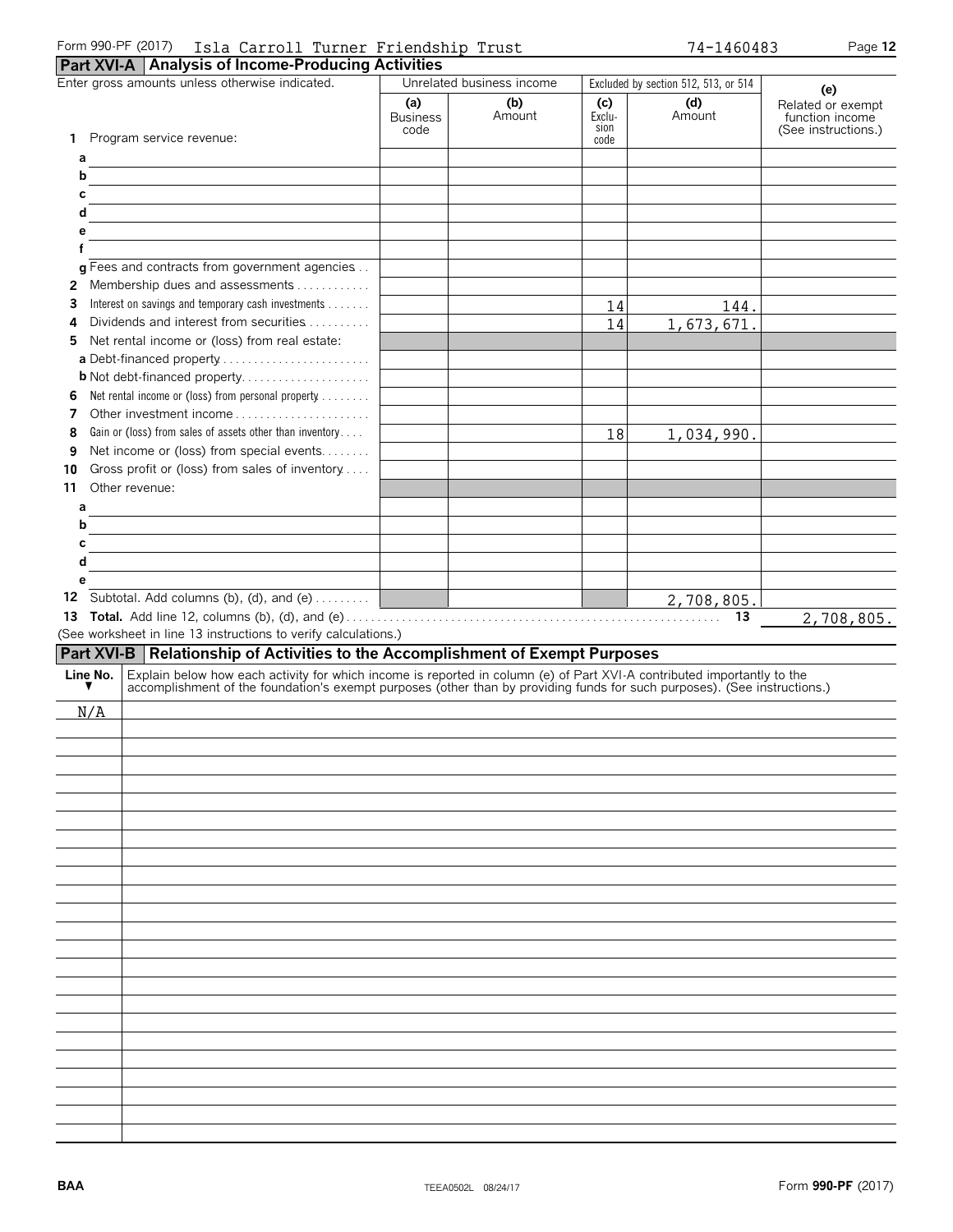| Form 990-PF (2017) | Isla (<br>Carroll | Turner Friendship | Trust | $-1460483$<br>$7A -$ | Page 12 |
|--------------------|-------------------|-------------------|-------|----------------------|---------|

|               | <b>Part XVI-A</b> Analysis of Income-Producing Activities                                                                                                                                                                     |                                |                                              |                       |                                      |                                                                    |
|---------------|-------------------------------------------------------------------------------------------------------------------------------------------------------------------------------------------------------------------------------|--------------------------------|----------------------------------------------|-----------------------|--------------------------------------|--------------------------------------------------------------------|
|               | Enter gross amounts unless otherwise indicated.                                                                                                                                                                               |                                | Unrelated business income                    |                       | Excluded by section 512, 513, or 514 |                                                                    |
|               |                                                                                                                                                                                                                               | (a)<br><b>Business</b><br>code | (b)<br>Amount                                | (c)<br>Exclu-<br>sion | (d)<br>Amount                        | (e)<br>Related or exempt<br>function income<br>(See instructions.) |
| 1.            | Program service revenue:                                                                                                                                                                                                      |                                |                                              | code                  |                                      |                                                                    |
| а             |                                                                                                                                                                                                                               |                                |                                              |                       |                                      |                                                                    |
| b             |                                                                                                                                                                                                                               |                                |                                              |                       |                                      |                                                                    |
| с             |                                                                                                                                                                                                                               |                                |                                              |                       |                                      |                                                                    |
| d             |                                                                                                                                                                                                                               |                                |                                              |                       |                                      |                                                                    |
| е             |                                                                                                                                                                                                                               |                                |                                              |                       |                                      |                                                                    |
|               |                                                                                                                                                                                                                               |                                |                                              |                       |                                      |                                                                    |
|               | g Fees and contracts from government agencies                                                                                                                                                                                 |                                |                                              |                       |                                      |                                                                    |
| 2             | Membership dues and assessments                                                                                                                                                                                               |                                |                                              |                       |                                      |                                                                    |
| 3             | Interest on savings and temporary cash investments                                                                                                                                                                            |                                |                                              | 14                    | 144.                                 |                                                                    |
| 4             | Dividends and interest from securities                                                                                                                                                                                        |                                |                                              | 14                    | 1,673,671.                           |                                                                    |
| 5             | Net rental income or (loss) from real estate:                                                                                                                                                                                 |                                |                                              |                       |                                      |                                                                    |
|               | a Debt-financed property                                                                                                                                                                                                      |                                |                                              |                       |                                      |                                                                    |
|               | <b>b</b> Not debt-financed property                                                                                                                                                                                           |                                |                                              |                       |                                      |                                                                    |
| 6             | Net rental income or (loss) from personal property                                                                                                                                                                            |                                |                                              |                       |                                      |                                                                    |
| 7             | Other investment income                                                                                                                                                                                                       |                                |                                              |                       |                                      |                                                                    |
| 8             | Gain or (loss) from sales of assets other than inventory                                                                                                                                                                      |                                |                                              | 18                    | 1,034,990.                           |                                                                    |
| 9             | Net income or (loss) from special events                                                                                                                                                                                      |                                |                                              |                       |                                      |                                                                    |
| 10            | Gross profit or (loss) from sales of inventory                                                                                                                                                                                |                                |                                              |                       |                                      |                                                                    |
| 11            | Other revenue:                                                                                                                                                                                                                |                                |                                              |                       |                                      |                                                                    |
| а             |                                                                                                                                                                                                                               |                                |                                              |                       |                                      |                                                                    |
| b             |                                                                                                                                                                                                                               |                                |                                              |                       |                                      |                                                                    |
| С             |                                                                                                                                                                                                                               |                                |                                              |                       |                                      |                                                                    |
| d             |                                                                                                                                                                                                                               |                                |                                              |                       |                                      |                                                                    |
| е             |                                                                                                                                                                                                                               |                                |                                              |                       |                                      |                                                                    |
| 12            | Subtotal. Add columns (b), (d), and (e)                                                                                                                                                                                       |                                | <u> 1989 - John Barn Barn, mars ar breis</u> |                       | 2,708,805.                           |                                                                    |
|               |                                                                                                                                                                                                                               |                                |                                              |                       |                                      |                                                                    |
| 13            |                                                                                                                                                                                                                               |                                |                                              |                       | 13                                   |                                                                    |
|               |                                                                                                                                                                                                                               |                                |                                              |                       |                                      | 2,708,805.                                                         |
|               | (See worksheet in line 13 instructions to verify calculations.)                                                                                                                                                               |                                |                                              |                       |                                      |                                                                    |
|               | Part XVI-B   Relationship of Activities to the Accomplishment of Exempt Purposes                                                                                                                                              |                                |                                              |                       |                                      |                                                                    |
| Line No.<br>▼ | Explain below how each activity for which income is reported in column (e) of Part XVI-A contributed importantly to the accomplishment of the foundation's exempt purposes (other than by providing funds for such purposes). |                                |                                              |                       |                                      |                                                                    |
|               |                                                                                                                                                                                                                               |                                |                                              |                       |                                      |                                                                    |
| N/A           |                                                                                                                                                                                                                               |                                |                                              |                       |                                      |                                                                    |
|               |                                                                                                                                                                                                                               |                                |                                              |                       |                                      |                                                                    |
|               |                                                                                                                                                                                                                               |                                |                                              |                       |                                      |                                                                    |
|               |                                                                                                                                                                                                                               |                                |                                              |                       |                                      |                                                                    |
|               |                                                                                                                                                                                                                               |                                |                                              |                       |                                      |                                                                    |
|               |                                                                                                                                                                                                                               |                                |                                              |                       |                                      |                                                                    |
|               |                                                                                                                                                                                                                               |                                |                                              |                       |                                      |                                                                    |
|               |                                                                                                                                                                                                                               |                                |                                              |                       |                                      |                                                                    |
|               |                                                                                                                                                                                                                               |                                |                                              |                       |                                      |                                                                    |
|               |                                                                                                                                                                                                                               |                                |                                              |                       |                                      |                                                                    |
|               |                                                                                                                                                                                                                               |                                |                                              |                       |                                      |                                                                    |
|               |                                                                                                                                                                                                                               |                                |                                              |                       |                                      |                                                                    |
|               |                                                                                                                                                                                                                               |                                |                                              |                       |                                      |                                                                    |
|               |                                                                                                                                                                                                                               |                                |                                              |                       |                                      |                                                                    |
|               |                                                                                                                                                                                                                               |                                |                                              |                       |                                      |                                                                    |
|               |                                                                                                                                                                                                                               |                                |                                              |                       |                                      |                                                                    |
|               |                                                                                                                                                                                                                               |                                |                                              |                       |                                      |                                                                    |
|               |                                                                                                                                                                                                                               |                                |                                              |                       |                                      |                                                                    |
|               |                                                                                                                                                                                                                               |                                |                                              |                       |                                      |                                                                    |
|               |                                                                                                                                                                                                                               |                                |                                              |                       |                                      |                                                                    |
|               |                                                                                                                                                                                                                               |                                |                                              |                       |                                      |                                                                    |
|               |                                                                                                                                                                                                                               |                                |                                              |                       |                                      |                                                                    |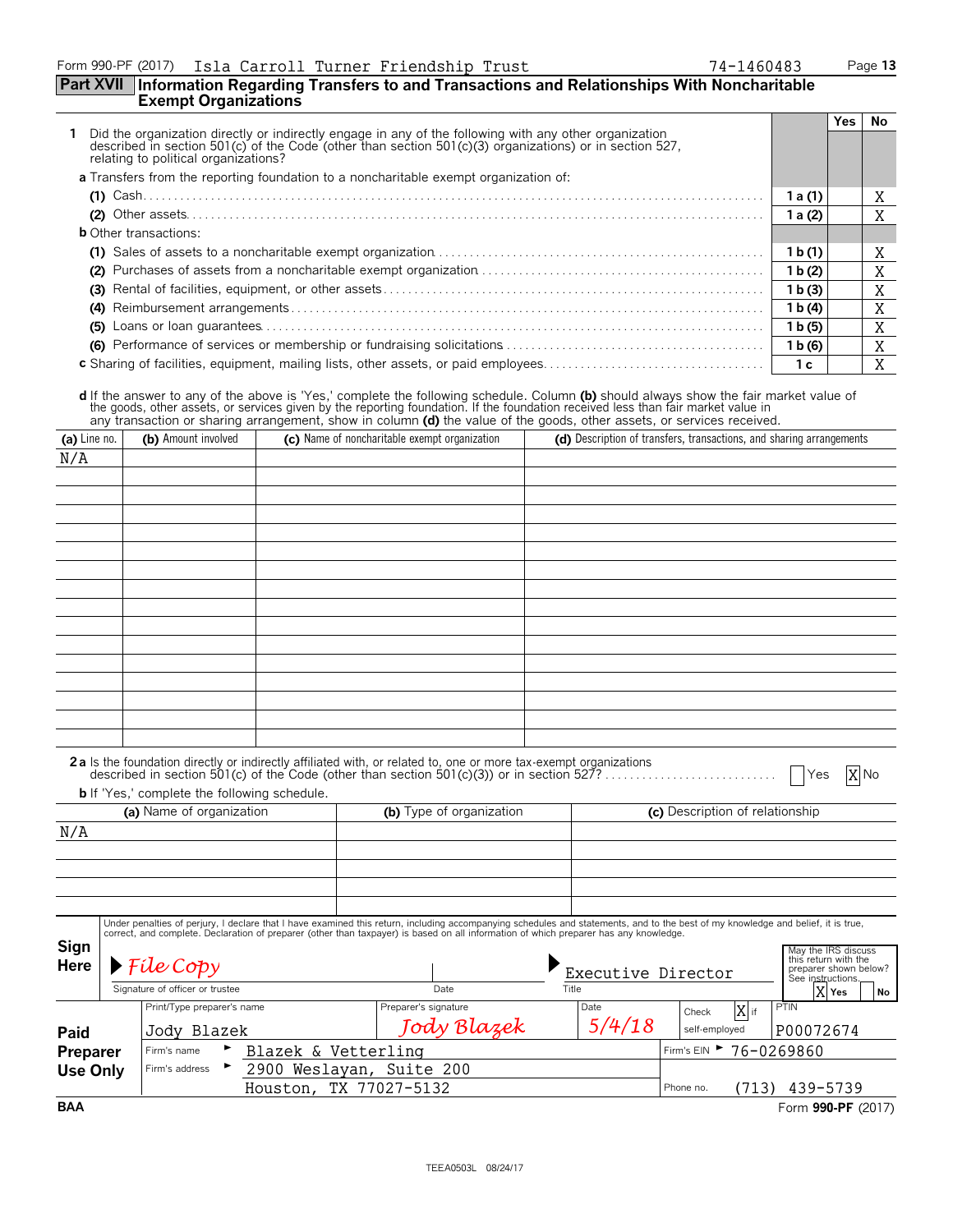### Form 990-PF (2017) Page **13** Isla Carroll Turner Friendship Trust 74-1460483

### **Part XVII Information Regarding Transfers to and Transactions and Relationships With Noncharitable Exempt Organizations**

|                                                                                                                                                                                                                                                        |                    | Yes | No. |
|--------------------------------------------------------------------------------------------------------------------------------------------------------------------------------------------------------------------------------------------------------|--------------------|-----|-----|
| Did the organization directly or indirectly engage in any of the following with any other organization described in section 501(c) of the Code (other than section 501(c)(3) organizations) or in section 527,<br>relating to political organizations? |                    |     |     |
| <b>a</b> Transfers from the reporting foundation to a noncharitable exempt organization of:                                                                                                                                                            |                    |     |     |
|                                                                                                                                                                                                                                                        | 1 a (1)            |     | A   |
|                                                                                                                                                                                                                                                        | 1a(2)              |     | X   |
| <b>b</b> Other transactions:                                                                                                                                                                                                                           |                    |     |     |
|                                                                                                                                                                                                                                                        | 1 b(1)             |     | A   |
| (2)                                                                                                                                                                                                                                                    | 1 b(2)             |     | X   |
|                                                                                                                                                                                                                                                        | 1 b (3)            |     | X   |
|                                                                                                                                                                                                                                                        | 1 b(4)             |     | A   |
| (5)                                                                                                                                                                                                                                                    | 1 <sub>b</sub> (5) |     |     |
|                                                                                                                                                                                                                                                        | 1 b(6)             |     | X   |
| <b>c</b> Sharing of facilities, equipment, mailing lists, other assets, or paid employees                                                                                                                                                              | 1 с                |     | A   |

d If the answer to any of the above is 'Yes,' complete the following schedule. Column (b) should always show the fair market value of<br>the goods, other assets, or services given by the reporting foundation. If the foundatio

| (a) Line no.    | (b) Amount involved                                 |                          | (c) Name of noncharitable exempt organization                                                                                                                                    |       |        |                                 | (d) Description of transfers, transactions, and sharing arrangements |
|-----------------|-----------------------------------------------------|--------------------------|----------------------------------------------------------------------------------------------------------------------------------------------------------------------------------|-------|--------|---------------------------------|----------------------------------------------------------------------|
| N/A             |                                                     |                          |                                                                                                                                                                                  |       |        |                                 |                                                                      |
|                 |                                                     |                          |                                                                                                                                                                                  |       |        |                                 |                                                                      |
|                 |                                                     |                          |                                                                                                                                                                                  |       |        |                                 |                                                                      |
|                 |                                                     |                          |                                                                                                                                                                                  |       |        |                                 |                                                                      |
|                 |                                                     |                          |                                                                                                                                                                                  |       |        |                                 |                                                                      |
|                 |                                                     |                          |                                                                                                                                                                                  |       |        |                                 |                                                                      |
|                 |                                                     |                          |                                                                                                                                                                                  |       |        |                                 |                                                                      |
|                 |                                                     |                          |                                                                                                                                                                                  |       |        |                                 |                                                                      |
|                 |                                                     |                          |                                                                                                                                                                                  |       |        |                                 |                                                                      |
|                 |                                                     |                          |                                                                                                                                                                                  |       |        |                                 |                                                                      |
|                 |                                                     |                          |                                                                                                                                                                                  |       |        |                                 |                                                                      |
|                 |                                                     |                          |                                                                                                                                                                                  |       |        |                                 |                                                                      |
|                 |                                                     |                          |                                                                                                                                                                                  |       |        |                                 |                                                                      |
|                 |                                                     |                          |                                                                                                                                                                                  |       |        |                                 |                                                                      |
|                 |                                                     |                          |                                                                                                                                                                                  |       |        |                                 |                                                                      |
|                 | <b>b</b> If 'Yes,' complete the following schedule. |                          | 2a Is the foundation directly or indirectly affiliated with, or related to, one or more tax-exempt organizations                                                                 |       |        |                                 | X No<br>Yes                                                          |
|                 | (a) Name of organization                            |                          | (b) Type of organization                                                                                                                                                         |       |        | (c) Description of relationship |                                                                      |
| N/A             |                                                     |                          |                                                                                                                                                                                  |       |        |                                 |                                                                      |
|                 |                                                     |                          |                                                                                                                                                                                  |       |        |                                 |                                                                      |
|                 |                                                     |                          |                                                                                                                                                                                  |       |        |                                 |                                                                      |
|                 |                                                     |                          |                                                                                                                                                                                  |       |        |                                 |                                                                      |
|                 |                                                     |                          | Under penalties of perjury, I declare that I have examined this return, including accompanying schedules and statements, and to the best of my knowledge and belief, it is true, |       |        |                                 |                                                                      |
|                 |                                                     |                          | correct, and complete. Declaration of preparer (other than taxpayer) is based on all information of which preparer has any knowledge.                                            |       |        |                                 |                                                                      |
| Sign            |                                                     |                          |                                                                                                                                                                                  |       |        |                                 | May the IRS discuss<br>this return with the                          |
| Here            | $\blacktriangleright$ File Copy                     |                          |                                                                                                                                                                                  |       |        | Executive Director              | preparer shown below?<br>See instructions.                           |
|                 | Signature of officer or trustee                     |                          | Date                                                                                                                                                                             | Title |        |                                 | X Yes<br>No                                                          |
|                 | Print/Type preparer's name                          |                          | Preparer's signature                                                                                                                                                             | Date  |        | $X$ <sub>if</sub><br>Check      | PTIN                                                                 |
| Paid            | Jody Blazek                                         |                          | Jody Blazek                                                                                                                                                                      |       | 5/4/18 | self-employed                   | P00072674                                                            |
| Preparer        | Firm's name                                         | Blazek & Vetterling      |                                                                                                                                                                                  |       |        | Firm's EIN 76-0269860           |                                                                      |
| <b>Use Only</b> | Firm's address                                      | 2900 Weslayan, Suite 200 |                                                                                                                                                                                  |       |        |                                 |                                                                      |
|                 |                                                     | Houston, TX 77027-5132   |                                                                                                                                                                                  |       |        | Phone no.                       | $(713)$ 439-5739                                                     |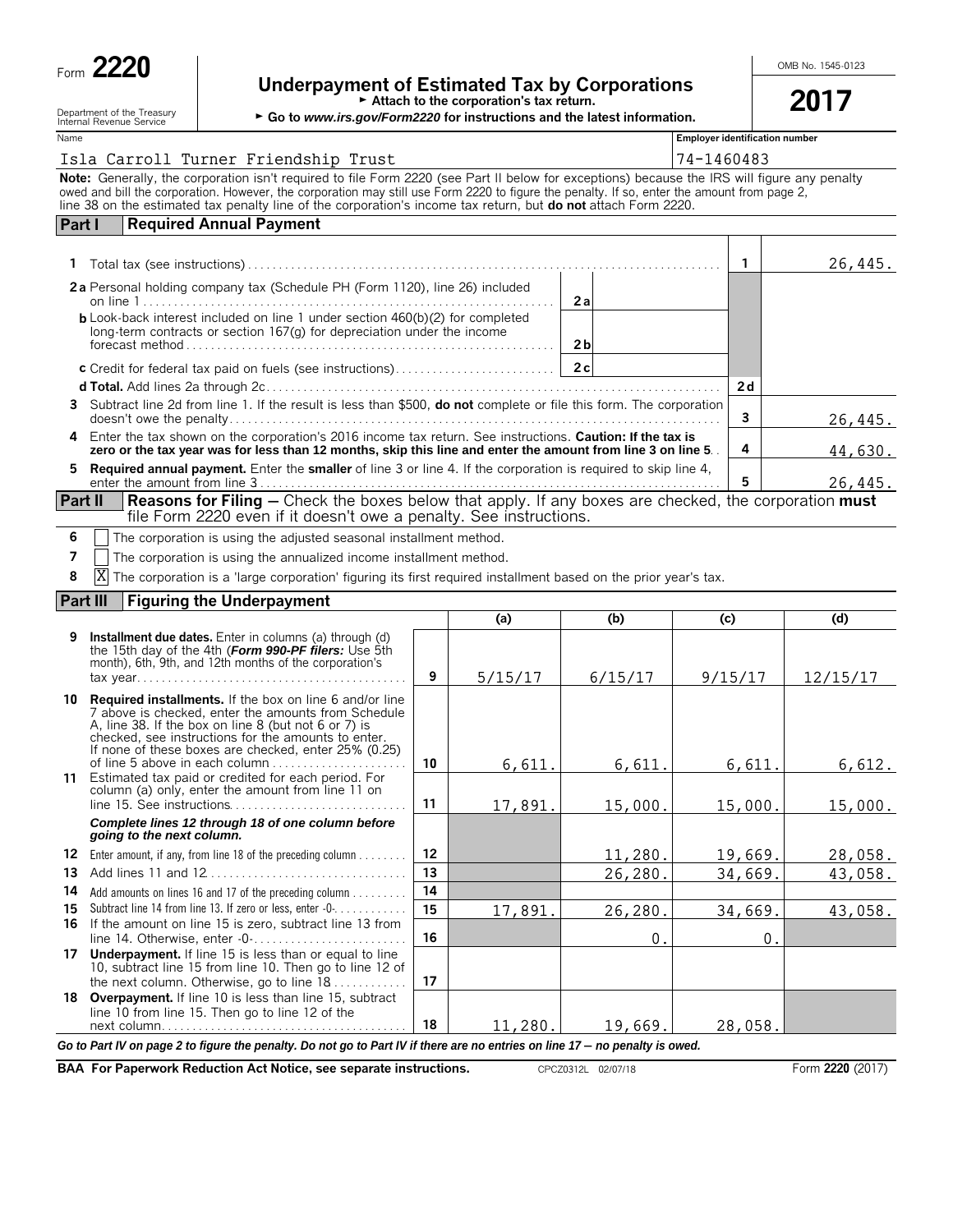| Form |  |
|------|--|
|------|--|

# Underpayment of Estimated Tax by Corporations **Provesses Alternations**

|  |  |  |  | $\overline{\phantom{0}}$               |
|--|--|--|--|----------------------------------------|
|  |  |  |  | Attach to the corporation's tax return |

| Attach to the corporation's tax return.<br>Department of the Treasury<br>► Go to www.irs.gov/Form2220 for instructions and the latest information.<br>Internal Revenue Service |                                                                                                                                                                                   |                                                                                                                                                                                                                                                                                                                                                                                                               |    |         |         | 2017                                  |          |
|--------------------------------------------------------------------------------------------------------------------------------------------------------------------------------|-----------------------------------------------------------------------------------------------------------------------------------------------------------------------------------|---------------------------------------------------------------------------------------------------------------------------------------------------------------------------------------------------------------------------------------------------------------------------------------------------------------------------------------------------------------------------------------------------------------|----|---------|---------|---------------------------------------|----------|
| Name                                                                                                                                                                           |                                                                                                                                                                                   |                                                                                                                                                                                                                                                                                                                                                                                                               |    |         |         | <b>Employer identification number</b> |          |
|                                                                                                                                                                                |                                                                                                                                                                                   | Isla Carroll Turner Friendship Trust                                                                                                                                                                                                                                                                                                                                                                          |    |         |         | 74-1460483                            |          |
|                                                                                                                                                                                |                                                                                                                                                                                   | Note: Generally, the corporation isn't required to file Form 2220 (see Part II below for exceptions) because the IRS will figure any penalty<br>owed and bill the corporation. However, the corporation may still use Form 2220 to figure the penalty. If so, enter the amount from page 2,<br>line 38 on the estimated tax penalty line of the corporation's income tax return, but do not attach Form 2220. |    |         |         |                                       |          |
| Part I                                                                                                                                                                         |                                                                                                                                                                                   | <b>Required Annual Payment</b>                                                                                                                                                                                                                                                                                                                                                                                |    |         |         |                                       |          |
|                                                                                                                                                                                |                                                                                                                                                                                   |                                                                                                                                                                                                                                                                                                                                                                                                               |    |         |         | $\mathbf{1}$                          | 26,445.  |
|                                                                                                                                                                                |                                                                                                                                                                                   | 2a Personal holding company tax (Schedule PH (Form 1120), line 26) included                                                                                                                                                                                                                                                                                                                                   |    |         | 2a      |                                       |          |
|                                                                                                                                                                                | <b>b</b> Look-back interest included on line 1 under section 460(b)(2) for completed<br>long-term contracts or section 167(g) for depreciation under the income<br>2 <sub>b</sub> |                                                                                                                                                                                                                                                                                                                                                                                                               |    |         |         |                                       |          |
|                                                                                                                                                                                |                                                                                                                                                                                   | c Credit for federal tax paid on fuels (see instructions)                                                                                                                                                                                                                                                                                                                                                     |    |         | 2c      |                                       |          |
|                                                                                                                                                                                |                                                                                                                                                                                   |                                                                                                                                                                                                                                                                                                                                                                                                               |    |         |         | 2d                                    |          |
|                                                                                                                                                                                |                                                                                                                                                                                   | 3 Subtract line 2d from line 1. If the result is less than \$500, do not complete or file this form. The corporation                                                                                                                                                                                                                                                                                          |    |         |         | 3                                     | 26,445.  |
| 4                                                                                                                                                                              |                                                                                                                                                                                   | Enter the tax shown on the corporation's 2016 income tax return. See instructions. Caution: If the tax is<br>zero or the tax year was for less than 12 months, skip this line and enter the amount from line 3 on line 5.                                                                                                                                                                                     |    |         |         | 4                                     | 44,630.  |
| 5.                                                                                                                                                                             |                                                                                                                                                                                   | <b>Required annual payment.</b> Enter the <b>smaller</b> of line 3 or line 4. If the corporation is required to skip line 4,                                                                                                                                                                                                                                                                                  |    |         |         | 5                                     | 26,445.  |
| <b>Part II</b>                                                                                                                                                                 |                                                                                                                                                                                   | <b>Reasons for Filing</b> – Check the boxes below that apply. If any boxes are checked, the corporation must<br>file Form 2220 even if it doesn't owe a penalty. See instructions.                                                                                                                                                                                                                            |    |         |         |                                       |          |
| 6                                                                                                                                                                              |                                                                                                                                                                                   | The corporation is using the adjusted seasonal installment method.                                                                                                                                                                                                                                                                                                                                            |    |         |         |                                       |          |
| 7                                                                                                                                                                              |                                                                                                                                                                                   | The corporation is using the annualized income installment method.                                                                                                                                                                                                                                                                                                                                            |    |         |         |                                       |          |
| 8                                                                                                                                                                              | Χ                                                                                                                                                                                 | The corporation is a 'large corporation' figuring its first required installment based on the prior year's tax.                                                                                                                                                                                                                                                                                               |    |         |         |                                       |          |
| Part III                                                                                                                                                                       |                                                                                                                                                                                   | <b>Figuring the Underpayment</b>                                                                                                                                                                                                                                                                                                                                                                              |    |         |         |                                       |          |
|                                                                                                                                                                                |                                                                                                                                                                                   |                                                                                                                                                                                                                                                                                                                                                                                                               |    | (a)     | (b)     | (c)                                   | (d)      |
| 9                                                                                                                                                                              |                                                                                                                                                                                   | <b>Installment due dates.</b> Enter in columns (a) through (d)<br>the 15th day of the 4th (Form 990-PF filers: Use 5th<br>month), 6th, 9th, and 12th months of the corporation's                                                                                                                                                                                                                              | 9  | 5/15/17 | 6/15/17 | 9/15/17                               | 12/15/17 |
|                                                                                                                                                                                |                                                                                                                                                                                   | <b>10 Required installments.</b> If the box on line 6 and/or line<br>7 above is checked, enter the amounts from Schedule<br>A, line 38. If the box on line 8 (but not 6 or 7) is<br>checked, see instructions for the amounts to enter.<br>If none of these boxes are checked, enter 25% (0.25)<br>of line 5 above in each column $\ldots$ , $\ldots$ , $\ldots$                                              | 10 | 6,611.  | 6,611.  | 6,611.                                | 6,612.   |
| 11                                                                                                                                                                             |                                                                                                                                                                                   | Estimated tax paid or credited for each period. For<br>column (a) only, enter the amount from line 11 on                                                                                                                                                                                                                                                                                                      | 11 | 17,891. | 15,000. | 15,000.                               | 15,000.  |

|    |                                                                                                                                                                        | 13 |         | 26,280. | 34,669. | 43,058 |
|----|------------------------------------------------------------------------------------------------------------------------------------------------------------------------|----|---------|---------|---------|--------|
| 14 | Add amounts on lines 16 and 17 of the preceding column                                                                                                                 | 14 |         |         |         |        |
| 15 | Subtract line 14 from line 13. If zero or less, enter -0-                                                                                                              | 15 | 17,891. | 26,280. | 34,669. | 43,058 |
|    | 16 If the amount on line 15 is zero, subtract line 13 from                                                                                                             | 16 |         |         |         |        |
| 17 | <b>Underpayment.</b> If line 15 is less than or equal to line<br>10, subtract line 15 from line 10. Then go to line 12 of<br>the next column. Otherwise, go to line 18 | 17 |         |         |         |        |
|    | <b>18 Overpayment.</b> If line 10 is less than line 15, subtract<br>line 10 from line 15. Then go to line 12 of the                                                    | 18 | 11,280. | 19,669. | 28,058. |        |

*Go to Part IV on page 2 to figure the penalty. Do not go to Part IV if there are no entries on line 17 - no penalty is owed.* 

**BAA For Paperwork Reduction Act Notice, see separate instructions.** CPCZ0312L 02/07/18 Form 2020 (2017) Form 2220 (2017)

*Complete lines 12 through 18 of one column before*

**12** Enter amount, if any, from line 18 of the preceding column . . . . . . . . **12**

*going to the next column.*

 $11,280.$  19,669. 28,058.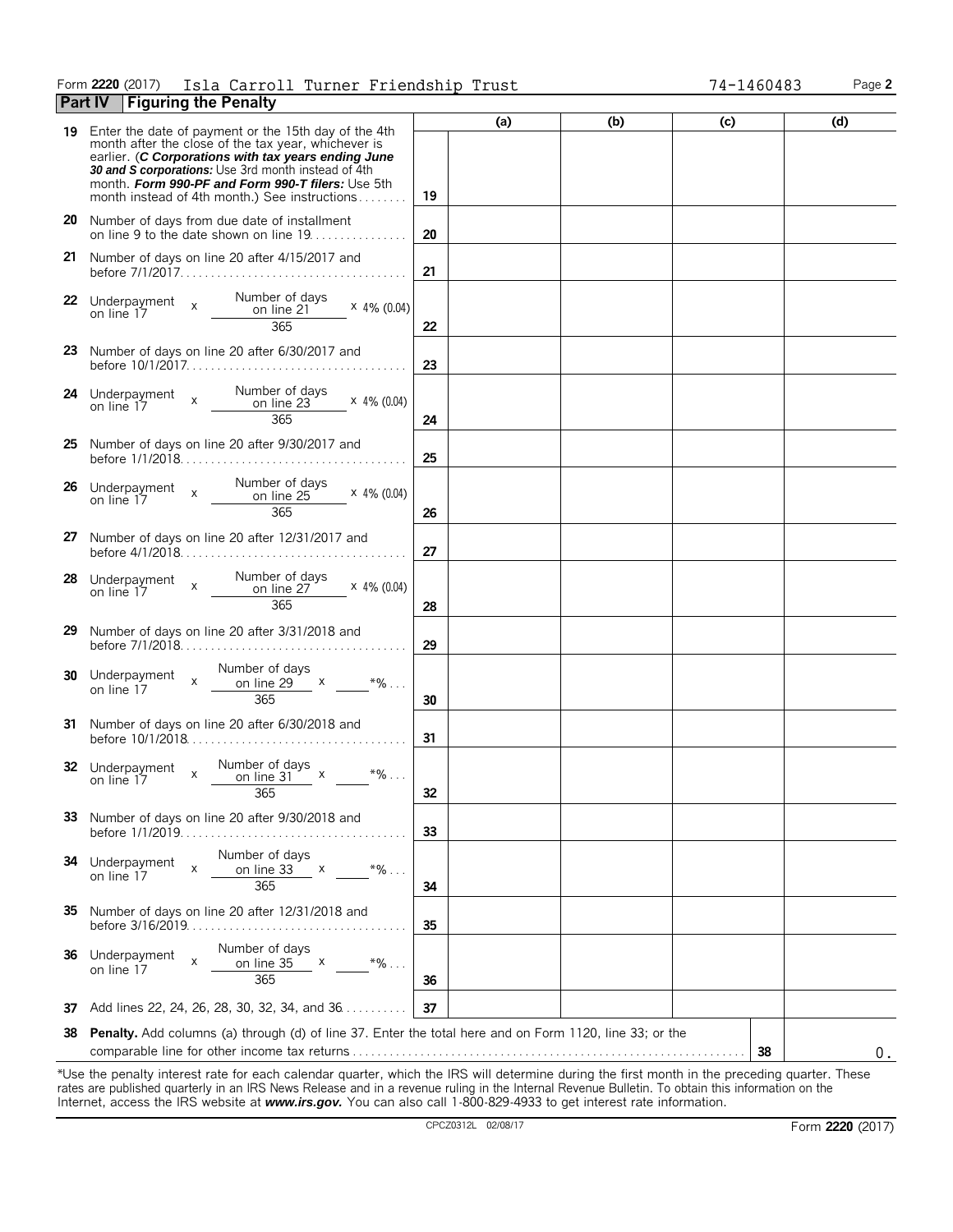### Form **2220** (2017) Page **2** Isla Carroll Turner Friendship Trust 74-1460483 **Part IV Figuring the Penalty**

|    |                                                                                                                                                                                                                                                                                                                                 | (a) | (b) | (c) | (d) |
|----|---------------------------------------------------------------------------------------------------------------------------------------------------------------------------------------------------------------------------------------------------------------------------------------------------------------------------------|-----|-----|-----|-----|
| 19 | Enter the date of payment or the 15th day of the 4th<br>month after the close of the tax year, whichever is<br>earlier. (C Corporations with tax years ending June<br>30 and S corporations: Use 3rd month instead of 4th<br>month. Form 990-PF and Form 990-T filers: Use 5th<br>month instead of 4th month.) See instructions | 19  |     |     |     |
|    | 20 Number of days from due date of installment<br>on line 9 to the date shown on line 19.                                                                                                                                                                                                                                       | 20  |     |     |     |
|    | 21 Number of days on line 20 after 4/15/2017 and                                                                                                                                                                                                                                                                                | 21  |     |     |     |
|    | 22 Underpayment x Number of days<br>on line 17 x <u>__________________________________</u><br>$\times$ 4% (0.04)<br>365                                                                                                                                                                                                         | 22  |     |     |     |
|    | 23 Number of days on line 20 after 6/30/2017 and                                                                                                                                                                                                                                                                                | 23  |     |     |     |
|    | $\times$ 4% (0.04)<br>365                                                                                                                                                                                                                                                                                                       | 24  |     |     |     |
|    | 25 Number of days on line 20 after 9/30/2017 and                                                                                                                                                                                                                                                                                | 25  |     |     |     |
| 26 | $\times$ 4% (0.04)<br>365                                                                                                                                                                                                                                                                                                       | 26  |     |     |     |
|    | 27 Number of days on line 20 after 12/31/2017 and                                                                                                                                                                                                                                                                               | 27  |     |     |     |
| 28 | $\times$ 4% (0.04)<br>365                                                                                                                                                                                                                                                                                                       | 28  |     |     |     |
|    | 29 Number of days on line 20 after 3/31/2018 and                                                                                                                                                                                                                                                                                | 29  |     |     |     |
|    | Number of days<br>30 Underpayment $x = \frac{1}{\text{on line 29}} \times \frac{1}{\text{on line 17}}$<br>365                                                                                                                                                                                                                   | 30  |     |     |     |
|    | 31 Number of days on line 20 after 6/30/2018 and                                                                                                                                                                                                                                                                                | 31  |     |     |     |
|    | 32 Underpayment x $\frac{\text{Number of days}}{\text{on line 31}}$ x<br>$*9/6$<br>365                                                                                                                                                                                                                                          | 32  |     |     |     |
|    | 33 Number of days on line 20 after 9/30/2018 and                                                                                                                                                                                                                                                                                | 33  |     |     |     |
| 34 | Number of days<br>Underpayment<br>X<br>$*9/6$<br>on line 33<br>$\mathsf{X}$<br>on line 17<br>365                                                                                                                                                                                                                                | 34  |     |     |     |
|    | 35 Number of days on line 20 after 12/31/2018 and                                                                                                                                                                                                                                                                               | 35  |     |     |     |
| 36 | Number of days<br>Underpayment<br>X<br>$*96$<br>on line 35<br>$\mathsf{X}$<br>on line 17<br>365                                                                                                                                                                                                                                 | 36  |     |     |     |
| 37 | Add lines 22, 24, 26, 28, 30, 32, 34, and 36.                                                                                                                                                                                                                                                                                   | 37  |     |     |     |
| 38 | Penalty. Add columns (a) through (d) of line 37. Enter the total here and on Form 1120, line 33; or the                                                                                                                                                                                                                         |     |     | 38  | 0.  |

\*Use the penalty interest rate for each calendar quarter, which the IRS will determine during the first month in the preceding quarter. These rates are published quarterly in an IRS News Release and in a revenue ruling in the Internal Revenue Bulletin. To obtain this information on the Internet, access the IRS website at *www.irs.gov.* You can also call 1-800-829-4933 to get interest rate information.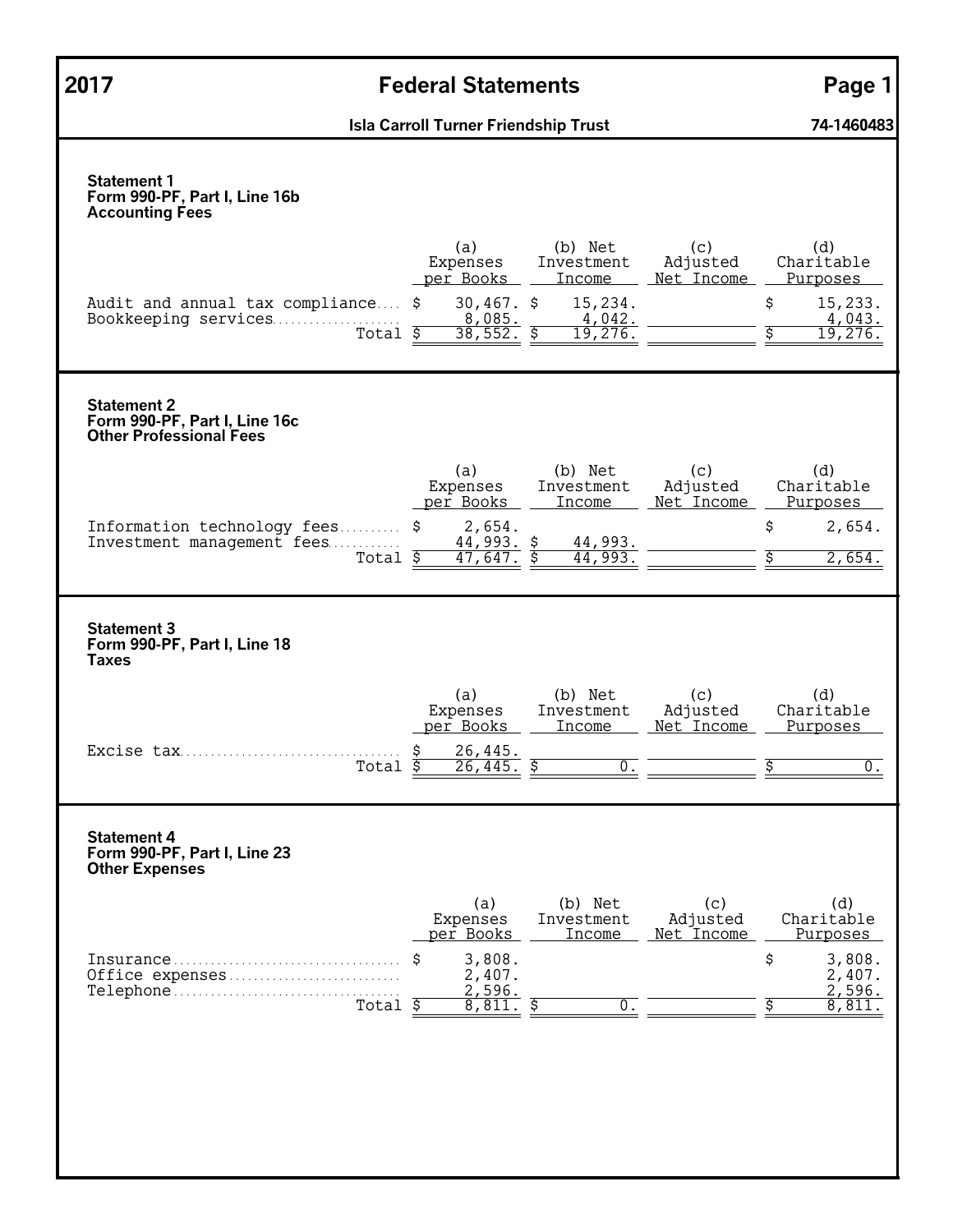| 2017                                                                                  | <b>Federal Statements</b>                                                                                                                                                                                        | Page 1                                                                                   |
|---------------------------------------------------------------------------------------|------------------------------------------------------------------------------------------------------------------------------------------------------------------------------------------------------------------|------------------------------------------------------------------------------------------|
|                                                                                       | <b>Isla Carroll Turner Friendship Trust</b>                                                                                                                                                                      | 74-1460483                                                                               |
| <b>Statement 1</b><br>Form 990-PF, Part I, Line 16b<br><b>Accounting Fees</b>         |                                                                                                                                                                                                                  |                                                                                          |
| Audit and annual tax compliance \$<br>Bookkeeping services                            | (a)<br>(b) Net<br>(c)<br>Expenses<br>Adjusted<br>Investment<br>per Books<br>Net Income<br><b>Income</b><br>$30,467.$ \$<br>15,234.<br>4,042.<br>$\frac{8,085}{38,552}$<br>Total $\overline{\$}$<br>\$<br>19,276. | (d)<br>Charitable<br>Purposes<br>\$<br>15,233.<br>4,043.<br>19,276.                      |
| <b>Statement 2</b><br>Form 990-PF, Part I, Line 16c<br><b>Other Professional Fees</b> |                                                                                                                                                                                                                  |                                                                                          |
| Information technology fees \$<br>Investment management fees                          | (a)<br>(b) Net<br>(c)<br>Expenses<br>Adjusted<br>Investment<br>per Books<br>Net Income<br><b>Income</b><br>2,654.<br>$44,993.$ \$<br>44,993.<br>44,993<br>Total $\overline{s}$<br>47,647.                        | (d)<br>Charitable<br>Purposes<br>\$<br>2,654.<br>2,654.                                  |
| <b>Statement 3</b><br>Form 990-PF, Part I, Line 18<br><b>Taxes</b>                    |                                                                                                                                                                                                                  |                                                                                          |
| Excise tax                                                                            | (a)<br>(c)<br>(b) Net<br>Expenses<br>Investment<br>Adjusted<br>per Books<br>Net Income<br><b>Income</b><br>26,445.<br>Ŝ<br>26.445.<br>Ś<br>Total<br>U                                                            | (d)<br>Charitable<br>Purposes<br>Ŝ<br>0                                                  |
| <b>Statement 4</b><br>Form 990-PF, Part I, Line 23<br><b>Other Expenses</b>           |                                                                                                                                                                                                                  |                                                                                          |
| Office expenses                                                                       | (b) Net<br>(a)<br>(c)<br>Adjusted<br>Expenses<br>Investment<br>per Books<br>Income<br>Net Income<br>3,808.<br>S<br>2,407.<br>2,596.<br>Total $\overline{S}$<br>0.<br>8,811.<br>\$                                | (d)<br>Charitable<br><u>Purposes</u><br>\$<br>3,808.<br>2,407.<br>2,596.<br>\$<br>8,811. |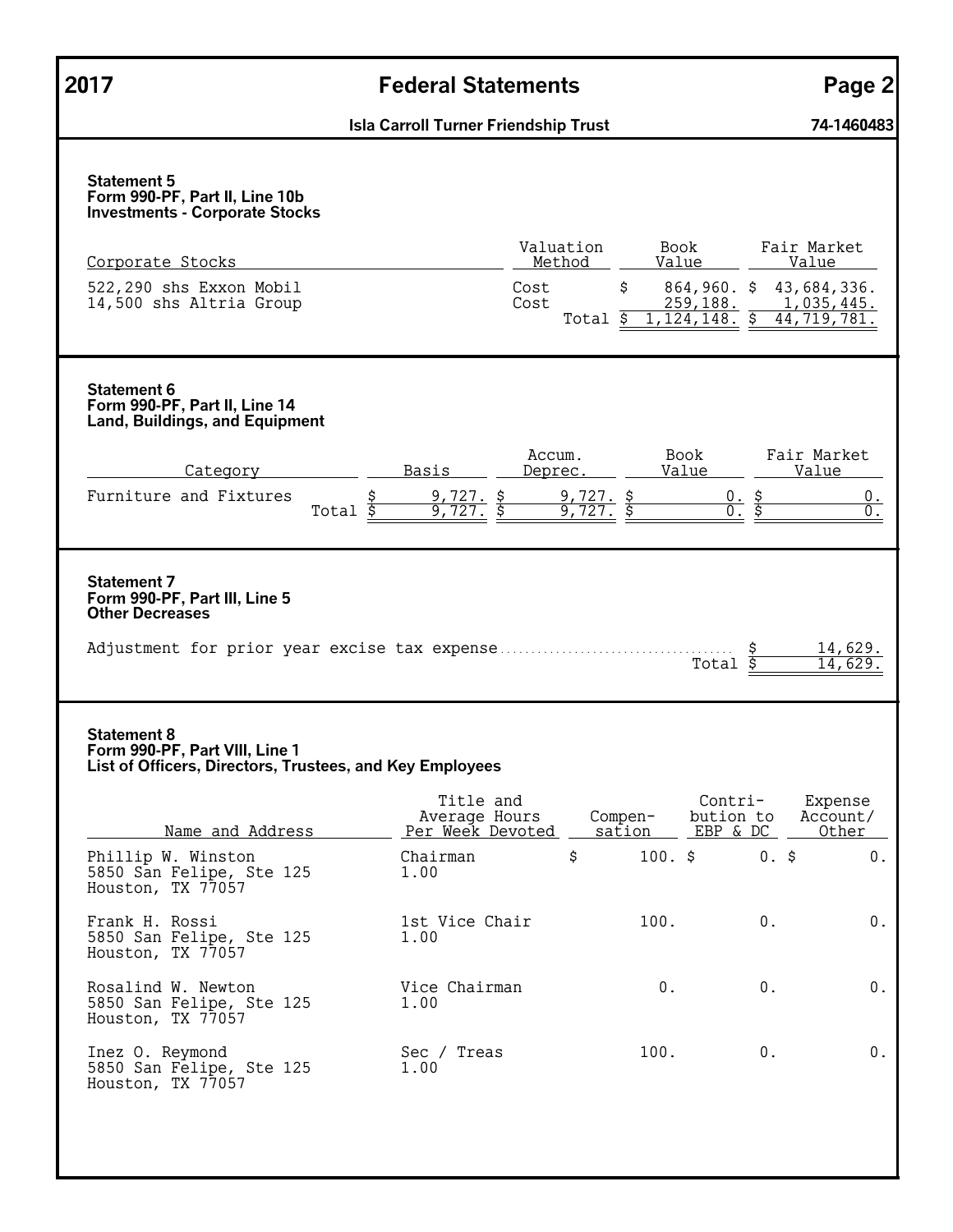| 2017                                                                                                             | <b>Federal Statements</b>                                                   | Page 2                                                    |
|------------------------------------------------------------------------------------------------------------------|-----------------------------------------------------------------------------|-----------------------------------------------------------|
|                                                                                                                  | <b>Isla Carroll Turner Friendship Trust</b>                                 | 74-1460483                                                |
| <b>Statement 5</b><br>Form 990-PF, Part II, Line 10b<br><b>Investments - Corporate Stocks</b>                    |                                                                             |                                                           |
| Corporate Stocks                                                                                                 | Valuation<br>Book<br>Method<br>Value                                        | Fair Market<br>Value                                      |
| 522,290 shs Exxon Mobil<br>14,500 shs Altria Group                                                               | $\mathsf{S}$<br>Cost<br>Cost<br><u>259,188.</u><br>1, 124, 148.<br>Total \$ | $864,960.$ \$<br>43,684,336.<br>1,035,445.<br>44,719,781. |
| <b>Statement 6</b><br>Form 990-PF, Part II, Line 14<br><b>Land, Buildings, and Equipment</b>                     |                                                                             |                                                           |
| Category                                                                                                         | Accum.<br>Book<br>Value<br>Basis<br>Deprec.                                 | Fair Market<br>Value                                      |
| Furniture and Fixtures                                                                                           | $9, 727.$ \$<br>9,727.<br>\$<br>\$<br>Total $\overline{\$}$<br>9.72<br>9.   | <u>0. \$</u><br>0.<br>\$<br>$\overline{0}$ .              |
| <b>Statement 7</b><br>Form 990-PF, Part III, Line 5<br><b>Other Decreases</b>                                    |                                                                             | 14,629.<br>\$<br>Total<br>14,629                          |
| <b>Statement 8</b><br>Form 990-PF, Part VIII, Line 1<br>List of Officers, Directors, Trustees, and Key Employees | Title and                                                                   | Contri-<br>Expense                                        |
| Name and Address                                                                                                 | Average Hours<br>Compen-<br>Per Week Devoted<br>sation                      | bution to<br>Account/<br>EBP & DC<br>Other                |
| Phillip W. Winston<br>5850 San Felipe, Ste 125<br>Houston, TX 77057                                              | \$<br>$100.$ \$<br>Chairman<br>1.00                                         | $0.$ \$<br>$0$ .                                          |
| Frank H. Rossi<br>5850 San Felipe, Ste 125<br>Houston, TX 77057                                                  | 1st Vice Chair<br>100.<br>1.00                                              | $0$ .<br>$0$ .                                            |
| Rosalind W. Newton<br>5850 San Felipe, Ste 125<br>Houston, TX 77057                                              | Vice Chairman<br>0.<br>1.00                                                 | 0.<br>$0$ .                                               |
| Inez O. Reymond<br>5850 San Felipe, Ste 125<br>Houston, TX 77057                                                 | Sec / Treas<br>100.<br>1.00                                                 | 0.<br>$0$ .                                               |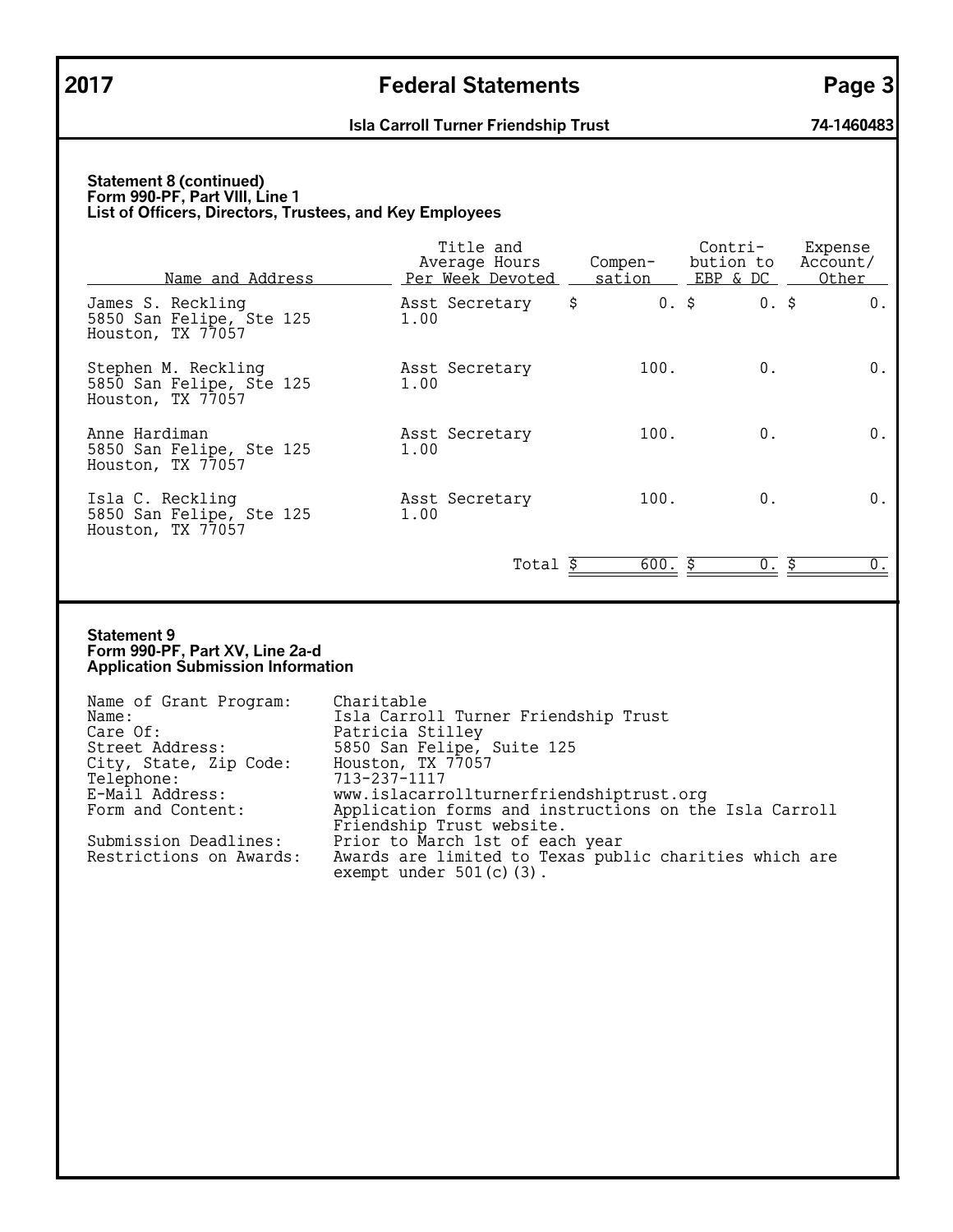#### **Statement 8 (continued) Form 990-PF, Part VIII, Line 1 List of Officers, Directors, Trustees, and Key Employees**

| Name and Address                                                     | Title and<br>Average Hours<br>Per Week Devoted | Compen-<br>sation | Contri-<br>bution to<br>EBP & DC | Expense<br>Account/<br>Other |
|----------------------------------------------------------------------|------------------------------------------------|-------------------|----------------------------------|------------------------------|
| James S. Reckling<br>5850 San Felipe, Ste 125<br>Houston, TX 77057   | Asst Secretary<br>1.00                         | \$<br>$0.$ \$     | $0.$ \$                          | 0.                           |
| Stephen M. Reckling<br>5850 San Felipe, Ste 125<br>Houston, TX 77057 | Asst Secretary<br>1.00                         | 100.              | 0.                               | $0$ .                        |
| Anne Hardiman<br>5850 San Felipe, Ste 125<br>Houston, TX 77057       | Asst Secretary<br>1.00                         | 100.              | 0.                               | 0.                           |
| Isla C. Reckling<br>5850 San Felipe, Ste 125<br>Houston, TX 77057    | Asst Secretary<br>1.00                         | 100.              | $0$ .                            | 0.                           |
|                                                                      | Total                                          | 600.              | Ŝ.<br>0.                         | Ŝ.<br>0.                     |

#### **Statement 9 Form 990-PF, Part XV, Line 2a-d Application Submission Information**

| Name of Grant Program:  | Charitable                                             |
|-------------------------|--------------------------------------------------------|
| Name:                   | Isla Carroll Turner Friendship Trust                   |
| Care Of:                | Patricia Stilley                                       |
| Street Address:         | 5850 San Felipe, Suite 125                             |
| City, State, Zip Code:  | Houston, TX 77057                                      |
| Telephone:              | 713-237-1117                                           |
| E-Mail Address:         | www.islacarrollturnerfriendshiptrust.org               |
| Form and Content:       | Application forms and instructions on the Isla Carroll |
|                         | Friendship Trust website.                              |
| Submission Deadlines:   | Prior to March 1st of each year                        |
| Restrictions on Awards: | Awards are limited to Texas public charities which are |
|                         | exempt under $501(c)$ (3).                             |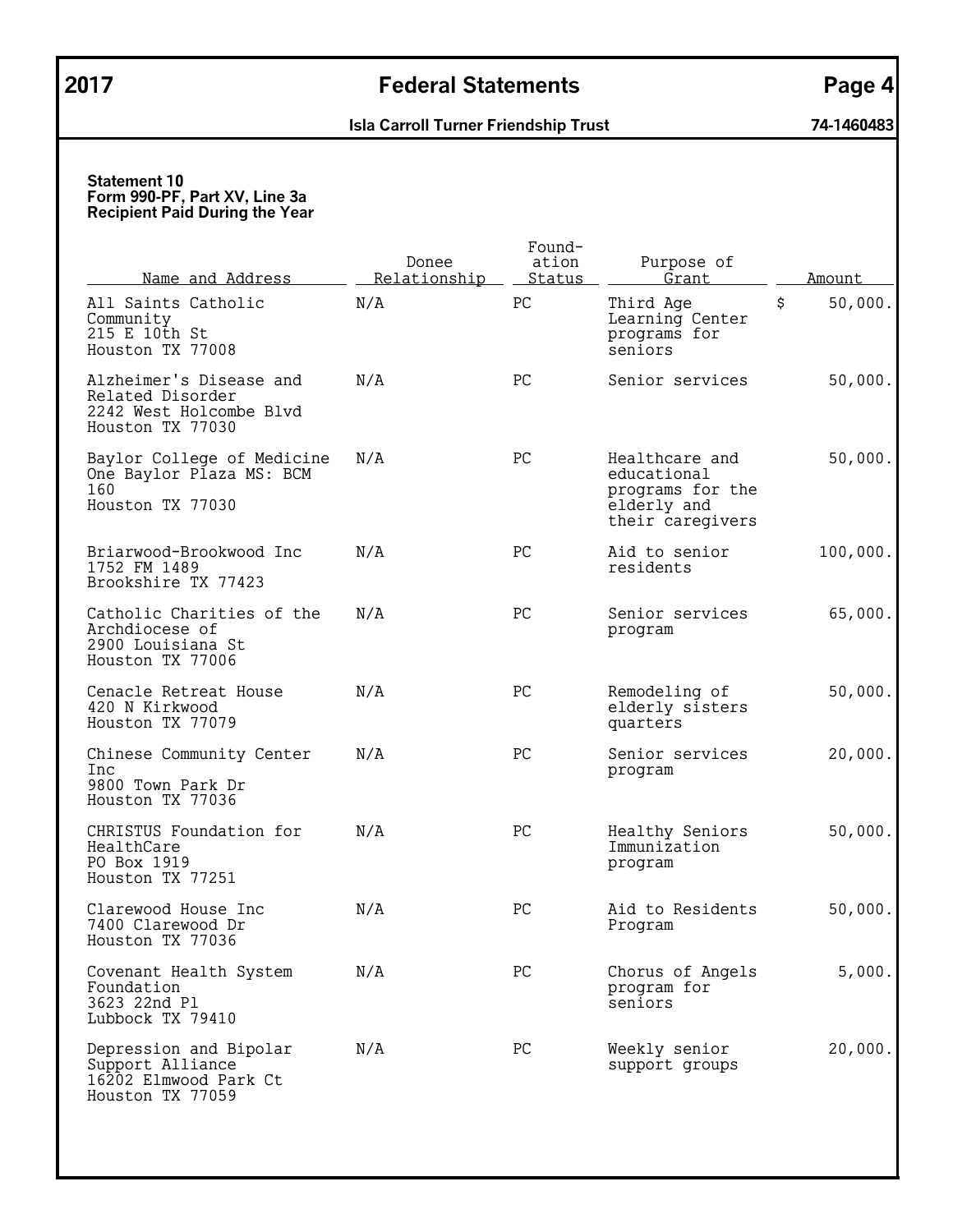# **2017 Federal Statements Page 4**

# **Isla Carroll Turner Friendship Trust 74-1460483**

| <u>Name and Address</u>                                                                    | Donee<br>Relationship | Found-<br>ation<br>Status | Purpose of<br>Grant                                                                  | Amount        |
|--------------------------------------------------------------------------------------------|-----------------------|---------------------------|--------------------------------------------------------------------------------------|---------------|
| All Saints Catholic<br>Community<br>215 E 10th St<br>Houston TX 77008                      | N/A                   | PC                        | Third Age<br>Learning Center<br>programs for<br>seniors                              | \$<br>50,000. |
| Alzheimer's Disease and<br>Related Disorder<br>2242 West Holcombe Blvd<br>Houston TX 77030 | N/A                   | PC                        | Senior services                                                                      | 50,000.       |
| Baylor College of Medicine<br>One Baylor Plaza MS: BCM<br>160<br>Houston TX 77030          | N/A                   | PC                        | Healthcare and<br>educational<br>programs for the<br>elderly and<br>their caregivers | 50,000.       |
| Briarwood-Brookwood Inc<br>1752 FM 1489<br>Brookshire TX 77423                             | N/A                   | PC                        | Aid to senior<br>residents                                                           | 100,000.      |
| Catholic Charities of the<br>Archdiocese of<br>2900 Louisiana St<br>Houston TX 77006       | N/A                   | PC                        | Senior services<br>program                                                           | 65,000.       |
| Cenacle Retreat House<br>420 N Kirkwood<br>Houston TX 77079                                | N/A                   | PC                        | Remodeling of<br>elderly sisters<br>quarters                                         | 50,000.       |
| Chinese Community Center<br>Inc<br>9800 Town Park Dr<br>Houston TX 77036                   | N/A                   | PC                        | Senior services<br>program                                                           | 20,000.       |
| CHRISTUS Foundation for<br>HealthCare<br>PO Box 1919<br>Houston TX 77251                   | N/A                   | PC                        | Healthy Seniors<br>Immunization<br>program                                           | 50,000.       |
| Clarewood House Inc<br>7400 Clarewood Dr<br>Houston TX 77036                               | N/A                   | PC                        | Aid to Residents<br>Program                                                          | 50,000.       |
| Covenant Health System<br>Foundation<br>3623 22nd Pl<br>Lubbock TX 79410                   | N/A                   | PC                        | Chorus of Angels<br>program for<br>seniors                                           | 5,000.        |
| Depression and Bipolar<br>Support Alliance<br>16202 Elmwood Park Ct<br>Houston TX 77059    | N/A                   | PC                        | Weekly senior<br>support groups                                                      | 20,000.       |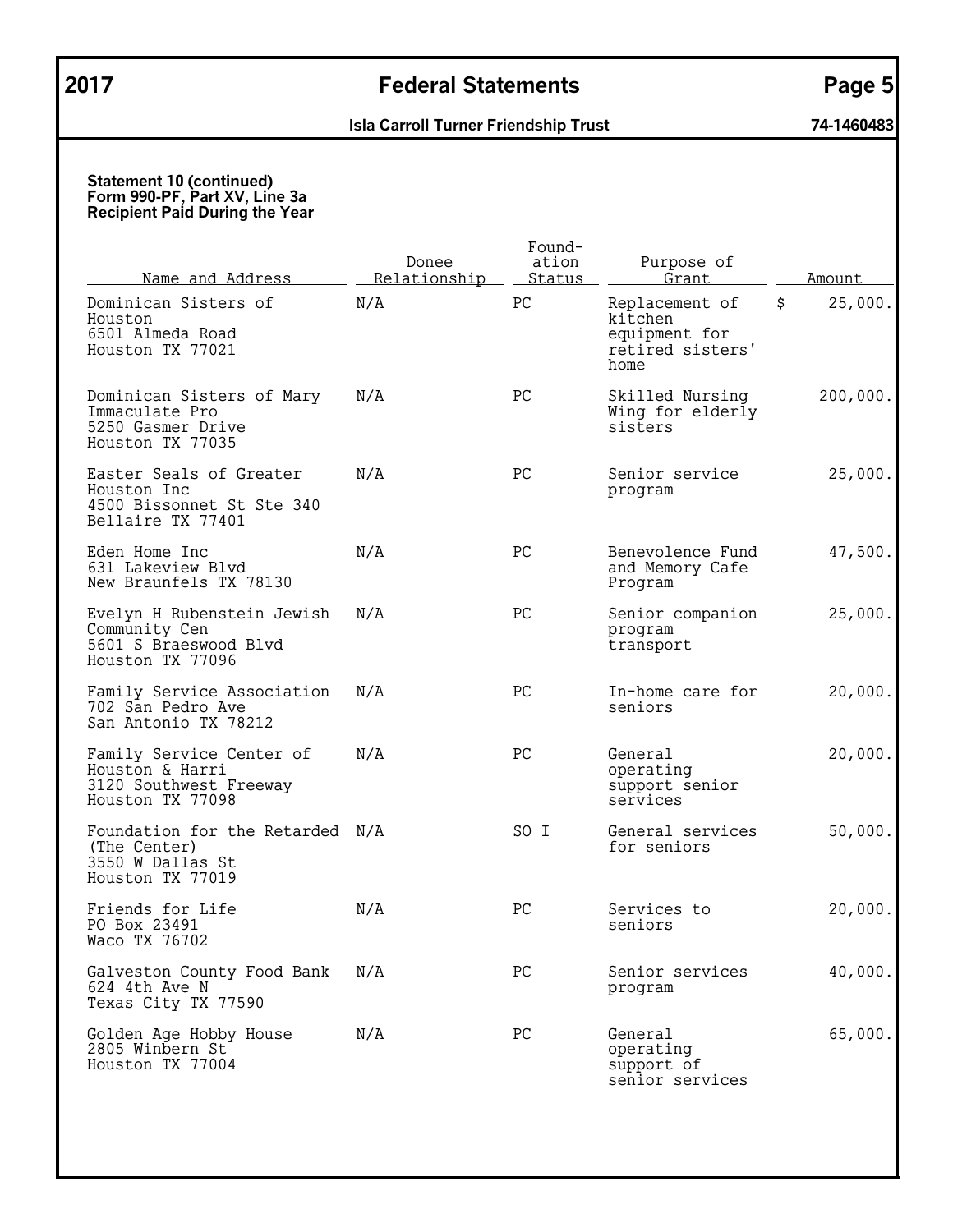| <u>Name and Address</u>                                                                   | Donee<br>Relationship | Found-<br>ation<br>Status | Purpose of<br>Grant                                                    | Amount        |
|-------------------------------------------------------------------------------------------|-----------------------|---------------------------|------------------------------------------------------------------------|---------------|
| Dominican Sisters of<br>Houston<br>6501 Almeda Road<br>Houston TX 77021                   | N/A                   | PC                        | Replacement of<br>kitchen<br>equipment for<br>retired sisters'<br>home | 25,000.<br>\$ |
| Dominican Sisters of Mary<br>Immaculate Pro<br>5250 Gasmer Drive<br>Houston TX 77035      | N/A                   | PC                        | Skilled Nursing<br>Wing for elderly<br>sisters                         | 200,000.      |
| Easter Seals of Greater<br>Houston Inc<br>4500 Bissonnet St Ste 340<br>Bellaire TX 77401  | N/A                   | PC                        | Senior service<br>program                                              | 25,000.       |
| Eden Home Inc<br>631 Lakeview Blvd<br>New Braunfels TX 78130                              | N/A                   | PC                        | Benevolence Fund<br>and Memory Cafe<br>Program                         | 47,500.       |
| Evelyn H Rubenstein Jewish<br>Community Cen<br>5601 S Braeswood Blvd<br>Houston TX 77096  | N/A                   | PC                        | Senior companion<br>program<br>transport                               | 25,000.       |
| Family Service Association<br>702 San Pedro Ave<br>San Antonio TX 78212                   | N/A                   | PC                        | In-home care for<br>seniors                                            | 20,000.       |
| Family Service Center of<br>Houston & Harri<br>3120 Southwest Freeway<br>Houston TX 77098 | N/A                   | PC                        | General<br>operating<br>support senior<br>services                     | 20,000.       |
| Foundation for the Retarded N/A<br>(The Center)<br>3550 W Dallas St<br>Houston TX 77019   |                       | SO I                      | General services<br>for seniors                                        | 50,000.       |
| Friends for Life<br>PO Box 23491<br>Waco TX 76702                                         | N/A                   | РC                        | Services to<br>seniors                                                 | 20,000.       |
| Galveston County Food Bank<br>624 4th Ave N<br>Texas City TX 77590                        | N/A                   | PC                        | Senior services<br>program                                             | 40,000.       |
| Golden Age Hobby House<br>2805 Winbern St<br>Houston TX 77004                             | N/A                   | PC                        | General<br>operating<br>support of<br>senior services                  | 65,000.       |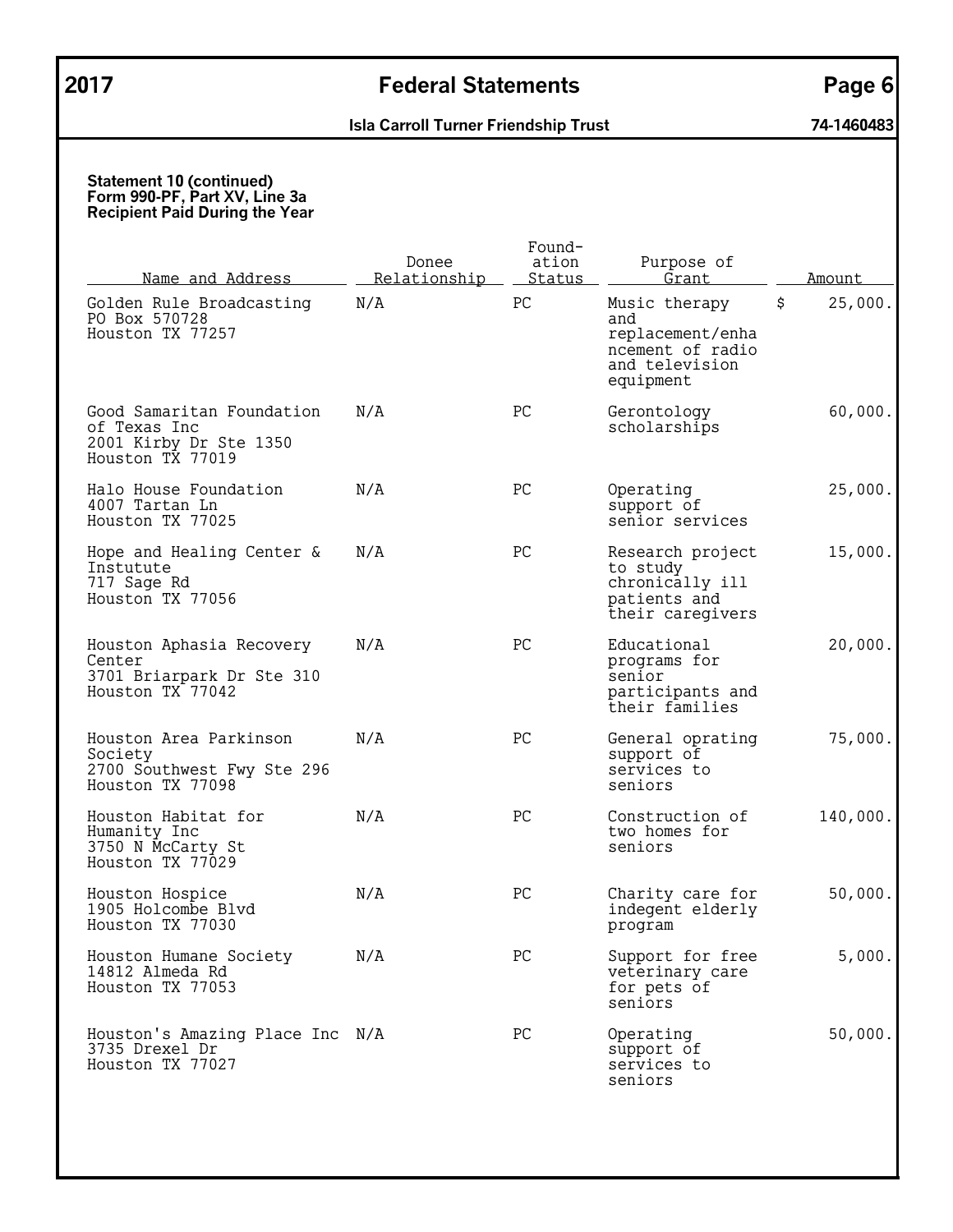# **2017 Federal Statements Page 6**

# **Isla Carroll Turner Friendship Trust 74-1460483**

| <u>Name and Address</u>                                                                 | Donee<br>Relationship | Found-<br>ation<br>Status | Purpose of<br>Grant                                                                         | Amount        |
|-----------------------------------------------------------------------------------------|-----------------------|---------------------------|---------------------------------------------------------------------------------------------|---------------|
| Golden Rule Broadcasting<br>PO Box 570728<br>Houston TX 77257                           | N/A                   | ${\rm P}{\bf C}$          | Music therapy<br>and<br>replacement/enha<br>ncement of radio<br>and television<br>equipment | \$<br>25,000. |
| Good Samaritan Foundation<br>of Texas Inc<br>2001 Kirby Dr Ste 1350<br>Houston TX 77019 | N/A                   | PC                        | Gerontology<br>scholarships                                                                 | 60,000.       |
| Halo House Foundation<br>4007 Tartan Ln<br>Houston TX 77025                             | N/A                   | PC                        | Operating<br>support of<br>senior services                                                  | 25,000.       |
| Hope and Healing Center &<br>Instutute<br>717 Sage Rd<br>Houston TX 77056               | N/A                   | PC                        | Research project<br>to study<br>chronically ill<br>patients and<br>their caregivers         | 15,000.       |
| Houston Aphasia Recovery<br>Center<br>3701 Briarpark Dr Ste 310<br>Houston TX 77042     | N/A                   | PC                        | Educational<br>programs for<br>senior<br>participants and<br>their families                 | 20,000.       |
| Houston Area Parkinson<br>Society<br>2700 Southwest Fwy Ste 296<br>Houston TX 77098     | N/A                   | PC                        | General oprating<br>support of<br>services to<br>seniors                                    | 75,000.       |
| Houston Habitat for<br>Humanity Inc<br>3750 N McCarty St<br>Houston TX 77029            | N/A                   | PC                        | Construction of<br>two homes for<br>seniors                                                 | 140,000.      |
| Houston Hospice<br>1905 Holcombe Blvd<br>Houston TX 77030                               | N/A                   | PC                        | Charity care for<br>indegent elderly<br>program                                             | 50,000.       |
| Houston Humane Society<br>14812 Almeda Rd<br>Houston TX 77053                           | N/A                   | PC                        | Support for free<br>veterinary care<br>for pets of<br>seniors                               | 5,000.        |
| Houston's Amazing Place Inc N/A<br>3735 Drexel Dr<br>Houston TX 77027                   |                       | PC                        | Operating<br>support of<br>services to<br>seniors                                           | 50,000.       |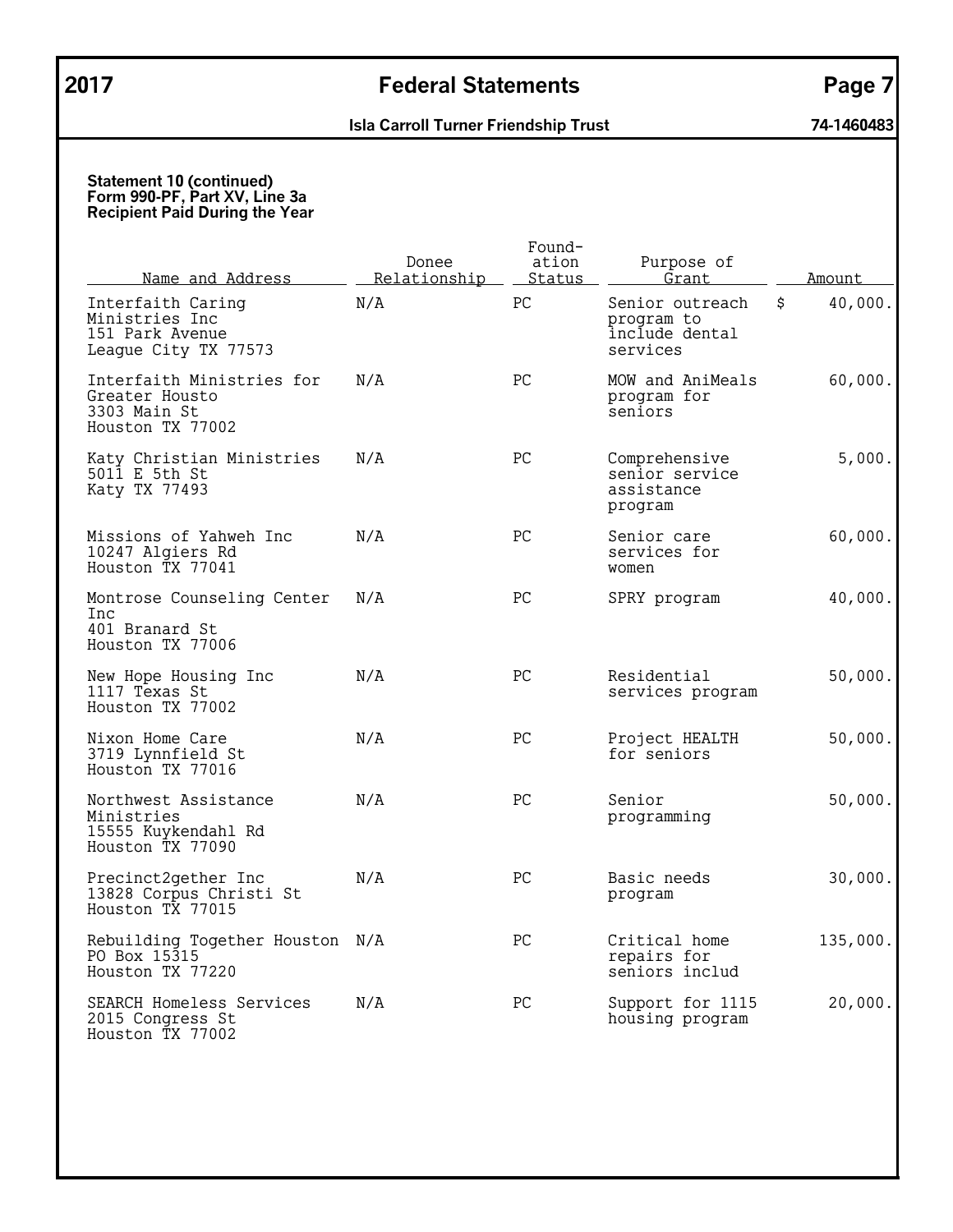| Name and Address                                                                | Donee<br>Relationship | Found-<br>ation<br>Status | Purpose of<br>Grant                                         | Amount        |
|---------------------------------------------------------------------------------|-----------------------|---------------------------|-------------------------------------------------------------|---------------|
| Interfaith Caring<br>Ministries Inc<br>151 Park Avenue<br>League City TX 77573  | N/A                   | PC                        | Senior outreach<br>program to<br>include dental<br>services | \$<br>40,000. |
| Interfaith Ministries for<br>Greater Housto<br>3303 Main St<br>Houston TX 77002 | N/A                   | PC                        | MOW and AniMeals<br>program for<br>seniors                  | 60,000.       |
| Katy Christian Ministries<br>5011 E 5th St<br>Katy TX 77493                     | N/A                   | PC.                       | Comprehensive<br>senior service<br>assistance<br>program    | 5,000.        |
| Missions of Yahweh Inc<br>10247 Algiers Rd<br>Houston TX 77041                  | N/A                   | PC                        | Senior care<br>services for<br>women                        | 60,000.       |
| Montrose Counseling Center<br>Inc<br>401 Branard St<br>Houston TX 77006         | N/A                   | PC                        | SPRY program                                                | 40,000.       |
| New Hope Housing Inc<br>1117 Texas St<br>Houston TX 77002                       | N/A                   | РC                        | Residential<br>services program                             | 50,000.       |
| Nixon Home Care<br>3719 Lynnfield St<br>Houston TX 77016                        | N/A                   | PC                        | Project HEALTH<br>for seniors                               | 50,000.       |
| Northwest Assistance<br>Ministries<br>15555 Kuykendahl Rd<br>Houston TX 77090   | N/A                   | PC.                       | Senior<br>programming                                       | 50,000.       |
| Precinct2gether Inc<br>13828 Corpus Christi St<br>Houston TX 77015              | N/A                   | PC                        | Basic needs<br>program                                      | 30,000.       |
| Rebuilding Together Houston N/A<br>PO Box 15315<br>Houston TX 77220             |                       | PC.                       | Critical home<br>repairs for<br>seniors includ              | 135,000.      |
| SEARCH Homeless Services<br>2015 Congress St<br>Houston TX 77002                | N/A                   | PC                        | Support for 1115<br>housing program                         | 20,000.       |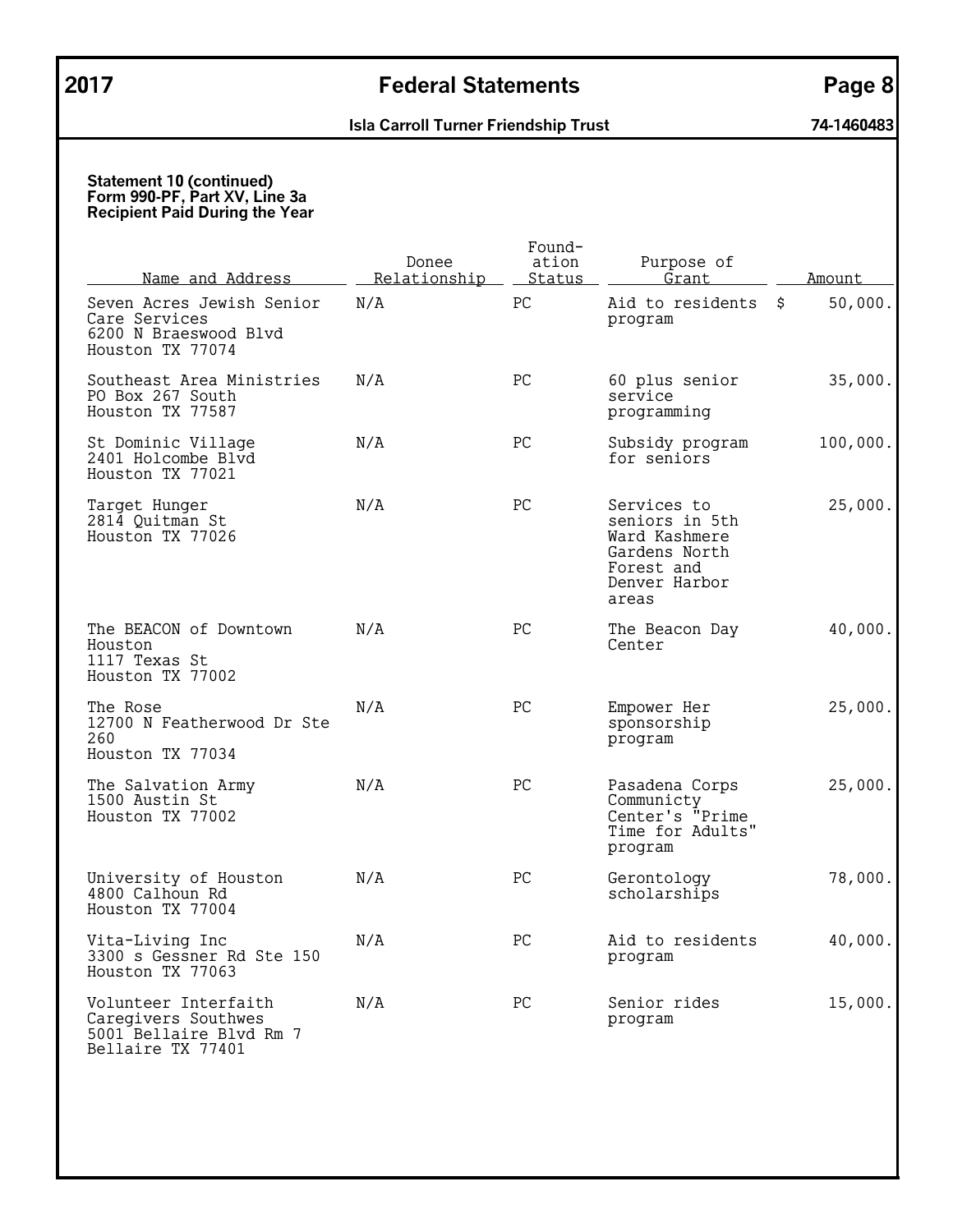| <u>Name and Address</u>                                                                     | Donee<br>Relationship | Found-<br>ation<br>Status | Purpose of<br>Grant                                                                                     | Amount        |
|---------------------------------------------------------------------------------------------|-----------------------|---------------------------|---------------------------------------------------------------------------------------------------------|---------------|
| Seven Acres Jewish Senior<br>Care Services<br>6200 N Braeswood Blvd<br>Houston TX 77074     | N/A                   | PC                        | Aid to residents<br>program                                                                             | \$<br>50,000. |
| Southeast Area Ministries<br>PO Box 267 South<br>Houston TX 77587                           | N/A                   | PC                        | 60 plus senior<br>service<br>programming                                                                | 35,000.       |
| St Dominic Village<br>2401 Holcombe Blvd<br>Houston TX 77021                                | N/A                   | PC                        | Subsidy program<br>for seniors                                                                          | 100,000.      |
| Target Hunger<br>2814 Quitman St<br>Houston TX 77026                                        | N/A                   | PC                        | Services to<br>seniors in 5th<br>Ward Kashmere<br>Gardens North<br>Forest and<br>Denver Harbor<br>areas | 25,000.       |
| The BEACON of Downtown<br>Houston<br>1117 Texas St<br>Houston TX 77002                      | N/A                   | PC                        | The Beacon Day<br>Center                                                                                | 40,000.       |
| The Rose<br>12700 N Featherwood Dr Ste<br>260<br>Houston TX 77034                           | N/A                   | PC                        | Empower Her<br>sponsorship<br>program                                                                   | 25,000.       |
| The Salvation Army<br>1500 Austin St<br>Houston TX 77002                                    | N/A                   | PC                        | Pasadena Corps<br>Communicty<br>Center's "Prime<br>Time for Adults"<br>program                          | 25,000.       |
| University of Houston<br>4800 Calhoun Rd<br>Houston TX 77004                                | N/A                   | PC                        | Gerontology<br>scholarships                                                                             | 78,000.       |
| Vita-Living Inc<br>3300 s Gessner Rd Ste 150<br>Houston TX 77063                            | N/A                   | PC                        | Aid to residents<br>program                                                                             | 40,000.       |
| Volunteer Interfaith<br>Caregivers Southwes<br>5001 Bellaire Blvd Rm 7<br>Bellaire TX 77401 | N/A                   | PC                        | Senior rides<br>program                                                                                 | 15,000.       |